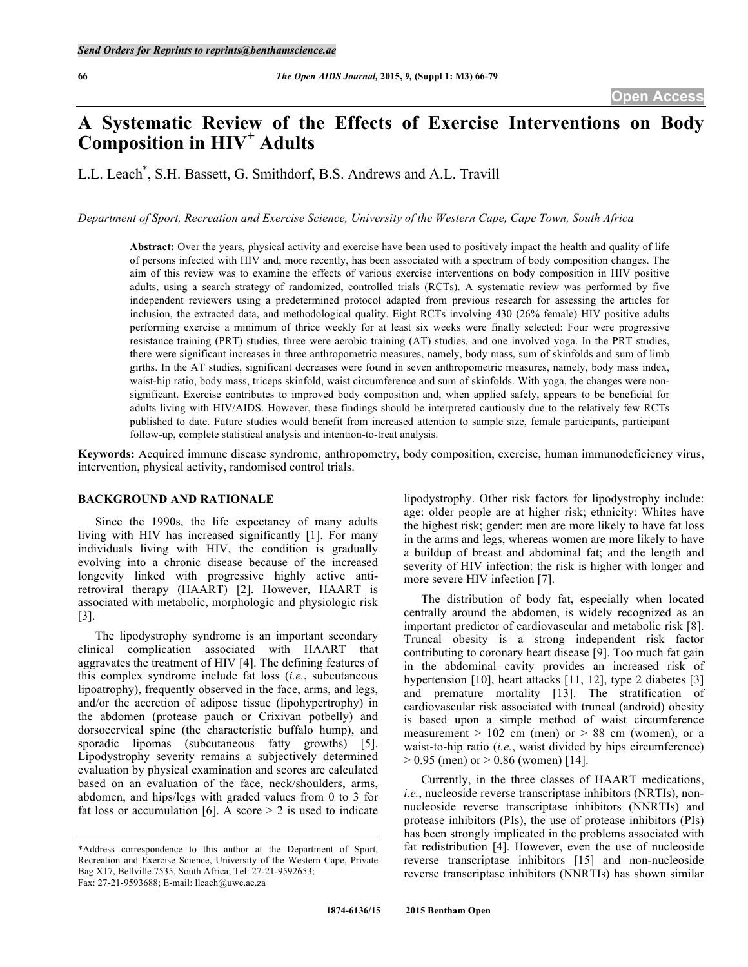# **A Systematic Review of the Effects of Exercise Interventions on Body Composition in HIV<sup>+</sup> Adults**

L.L. Leach\* , S.H. Bassett, G. Smithdorf, B.S. Andrews and A.L. Travill

*Department of Sport, Recreation and Exercise Science, University of the Western Cape, Cape Town, South Africa*

**Abstract:** Over the years, physical activity and exercise have been used to positively impact the health and quality of life of persons infected with HIV and, more recently, has been associated with a spectrum of body composition changes. The aim of this review was to examine the effects of various exercise interventions on body composition in HIV positive adults, using a search strategy of randomized, controlled trials (RCTs). A systematic review was performed by five independent reviewers using a predetermined protocol adapted from previous research for assessing the articles for inclusion, the extracted data, and methodological quality. Eight RCTs involving 430 (26% female) HIV positive adults performing exercise a minimum of thrice weekly for at least six weeks were finally selected: Four were progressive resistance training (PRT) studies, three were aerobic training (AT) studies, and one involved yoga. In the PRT studies, there were significant increases in three anthropometric measures, namely, body mass, sum of skinfolds and sum of limb girths. In the AT studies, significant decreases were found in seven anthropometric measures, namely, body mass index, waist-hip ratio, body mass, triceps skinfold, waist circumference and sum of skinfolds. With yoga, the changes were nonsignificant. Exercise contributes to improved body composition and, when applied safely, appears to be beneficial for adults living with HIV/AIDS. However, these findings should be interpreted cautiously due to the relatively few RCTs published to date. Future studies would benefit from increased attention to sample size, female participants, participant follow-up, complete statistical analysis and intention-to-treat analysis.

**Keywords:** Acquired immune disease syndrome, anthropometry, body composition, exercise, human immunodeficiency virus, intervention, physical activity, randomised control trials.

## **BACKGROUND AND RATIONALE**

Since the 1990s, the life expectancy of many adults living with HIV has increased significantly [1]. For many individuals living with HIV, the condition is gradually evolving into a chronic disease because of the increased longevity linked with progressive highly active antiretroviral therapy (HAART) [2]. However, HAART is associated with metabolic, morphologic and physiologic risk [3].

The lipodystrophy syndrome is an important secondary clinical complication associated with HAART that aggravates the treatment of HIV [4]. The defining features of this complex syndrome include fat loss (*i.e.*, subcutaneous lipoatrophy), frequently observed in the face, arms, and legs, and/or the accretion of adipose tissue (lipohypertrophy) in the abdomen (protease pauch or Crixivan potbelly) and dorsocervical spine (the characteristic buffalo hump), and sporadic lipomas (subcutaneous fatty growths) [5]. Lipodystrophy severity remains a subjectively determined evaluation by physical examination and scores are calculated based on an evaluation of the face, neck/shoulders, arms, abdomen, and hips/legs with graded values from 0 to 3 for fat loss or accumulation [6]. A score  $> 2$  is used to indicate

lipodystrophy. Other risk factors for lipodystrophy include: age: older people are at higher risk; ethnicity: Whites have the highest risk; gender: men are more likely to have fat loss in the arms and legs, whereas women are more likely to have a buildup of breast and abdominal fat; and the length and severity of HIV infection: the risk is higher with longer and more severe HIV infection [7].

The distribution of body fat, especially when located centrally around the abdomen, is widely recognized as an important predictor of cardiovascular and metabolic risk [8]. Truncal obesity is a strong independent risk factor contributing to coronary heart disease [9]. Too much fat gain in the abdominal cavity provides an increased risk of hypertension [10], heart attacks [11, 12], type 2 diabetes [3] and premature mortality [13]. The stratification of cardiovascular risk associated with truncal (android) obesity is based upon a simple method of waist circumference measurement  $> 102$  cm (men) or  $> 88$  cm (women), or a waist-to-hip ratio (*i.e.*, waist divided by hips circumference)  $> 0.95$  (men) or  $> 0.86$  (women) [14].

Currently, in the three classes of HAART medications, *i.e.*, nucleoside reverse transcriptase inhibitors (NRTIs), nonnucleoside reverse transcriptase inhibitors (NNRTIs) and protease inhibitors (PIs), the use of protease inhibitors (PIs) has been strongly implicated in the problems associated with fat redistribution [4]. However, even the use of nucleoside reverse transcriptase inhibitors [15] and non-nucleoside reverse transcriptase inhibitors (NNRTIs) has shown similar

<sup>\*</sup>Address correspondence to this author at the Department of Sport, Recreation and Exercise Science, University of the Western Cape, Private Bag X17, Bellville 7535, South Africa; Tel: 27-21-9592653; Fax: 27-21-9593688; E-mail: lleach@uwc.ac.za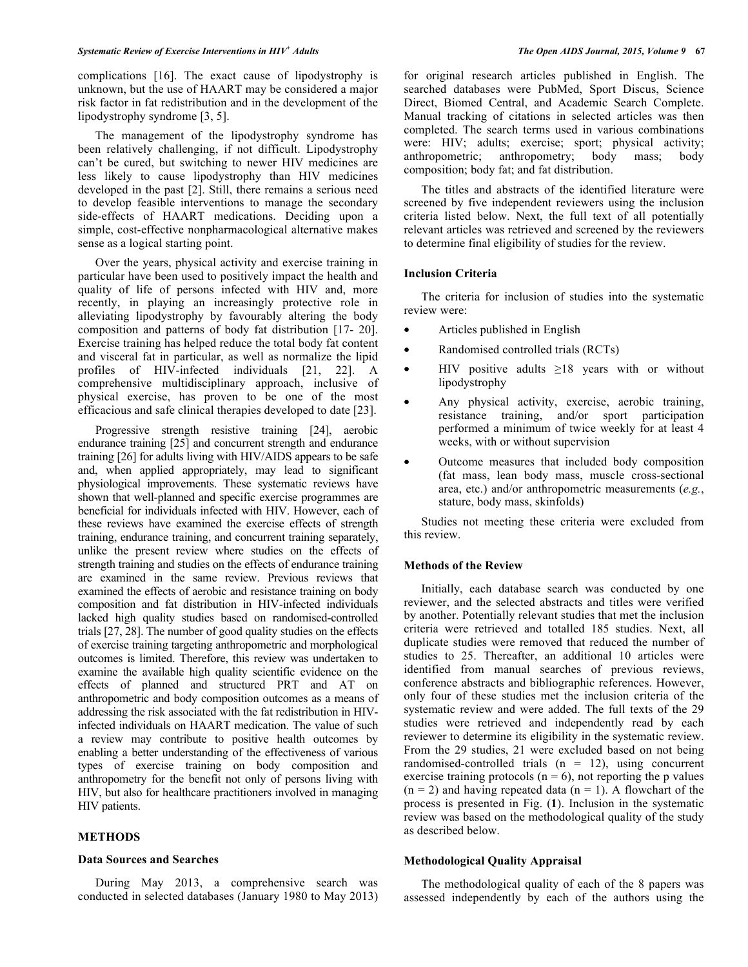complications [16]. The exact cause of lipodystrophy is unknown, but the use of HAART may be considered a major risk factor in fat redistribution and in the development of the lipodystrophy syndrome [3, 5].

The management of the lipodystrophy syndrome has been relatively challenging, if not difficult. Lipodystrophy can't be cured, but switching to newer HIV medicines are less likely to cause lipodystrophy than HIV medicines developed in the past [2]. Still, there remains a serious need to develop feasible interventions to manage the secondary side-effects of HAART medications. Deciding upon a simple, cost-effective nonpharmacological alternative makes sense as a logical starting point.

Over the years, physical activity and exercise training in particular have been used to positively impact the health and quality of life of persons infected with HIV and, more recently, in playing an increasingly protective role in alleviating lipodystrophy by favourably altering the body composition and patterns of body fat distribution [17- 20]. Exercise training has helped reduce the total body fat content and visceral fat in particular, as well as normalize the lipid profiles of HIV-infected individuals [21, 22]. A comprehensive multidisciplinary approach, inclusive of physical exercise, has proven to be one of the most efficacious and safe clinical therapies developed to date [23].

Progressive strength resistive training [24], aerobic endurance training [25] and concurrent strength and endurance training [26] for adults living with HIV/AIDS appears to be safe and, when applied appropriately, may lead to significant physiological improvements. These systematic reviews have shown that well-planned and specific exercise programmes are beneficial for individuals infected with HIV. However, each of these reviews have examined the exercise effects of strength training, endurance training, and concurrent training separately, unlike the present review where studies on the effects of strength training and studies on the effects of endurance training are examined in the same review. Previous reviews that examined the effects of aerobic and resistance training on body composition and fat distribution in HIV-infected individuals lacked high quality studies based on randomised-controlled trials [27, 28]. The number of good quality studies on the effects of exercise training targeting anthropometric and morphological outcomes is limited. Therefore, this review was undertaken to examine the available high quality scientific evidence on the effects of planned and structured PRT and AT on anthropometric and body composition outcomes as a means of addressing the risk associated with the fat redistribution in HIVinfected individuals on HAART medication. The value of such a review may contribute to positive health outcomes by enabling a better understanding of the effectiveness of various types of exercise training on body composition and anthropometry for the benefit not only of persons living with HIV, but also for healthcare practitioners involved in managing HIV patients.

## **METHODS**

## **Data Sources and Searches**

During May 2013, a comprehensive search was conducted in selected databases (January 1980 to May 2013) for original research articles published in English. The searched databases were PubMed, Sport Discus, Science Direct, Biomed Central, and Academic Search Complete. Manual tracking of citations in selected articles was then completed. The search terms used in various combinations were: HIV; adults; exercise; sport; physical activity; anthropometric; anthropometry; body mass; body composition; body fat; and fat distribution.

The titles and abstracts of the identified literature were screened by five independent reviewers using the inclusion criteria listed below. Next, the full text of all potentially relevant articles was retrieved and screened by the reviewers to determine final eligibility of studies for the review.

## **Inclusion Criteria**

The criteria for inclusion of studies into the systematic review were:

- Articles published in English
- Randomised controlled trials (RCTs)
- HIV positive adults  $\geq 18$  years with or without lipodystrophy
- Any physical activity, exercise, aerobic training, resistance training, and/or sport participation performed a minimum of twice weekly for at least 4 weeks, with or without supervision
- Outcome measures that included body composition (fat mass, lean body mass, muscle cross-sectional area, etc.) and/or anthropometric measurements (*e.g.*, stature, body mass, skinfolds)

Studies not meeting these criteria were excluded from this review.

#### **Methods of the Review**

Initially, each database search was conducted by one reviewer, and the selected abstracts and titles were verified by another. Potentially relevant studies that met the inclusion criteria were retrieved and totalled 185 studies. Next, all duplicate studies were removed that reduced the number of studies to 25. Thereafter, an additional 10 articles were identified from manual searches of previous reviews, conference abstracts and bibliographic references. However, only four of these studies met the inclusion criteria of the systematic review and were added. The full texts of the 29 studies were retrieved and independently read by each reviewer to determine its eligibility in the systematic review. From the 29 studies, 21 were excluded based on not being randomised-controlled trials  $(n = 12)$ , using concurrent exercise training protocols  $(n = 6)$ , not reporting the p values  $(n = 2)$  and having repeated data  $(n = 1)$ . A flowchart of the process is presented in Fig. (**1**). Inclusion in the systematic review was based on the methodological quality of the study as described below.

## **Methodological Quality Appraisal**

The methodological quality of each of the 8 papers was assessed independently by each of the authors using the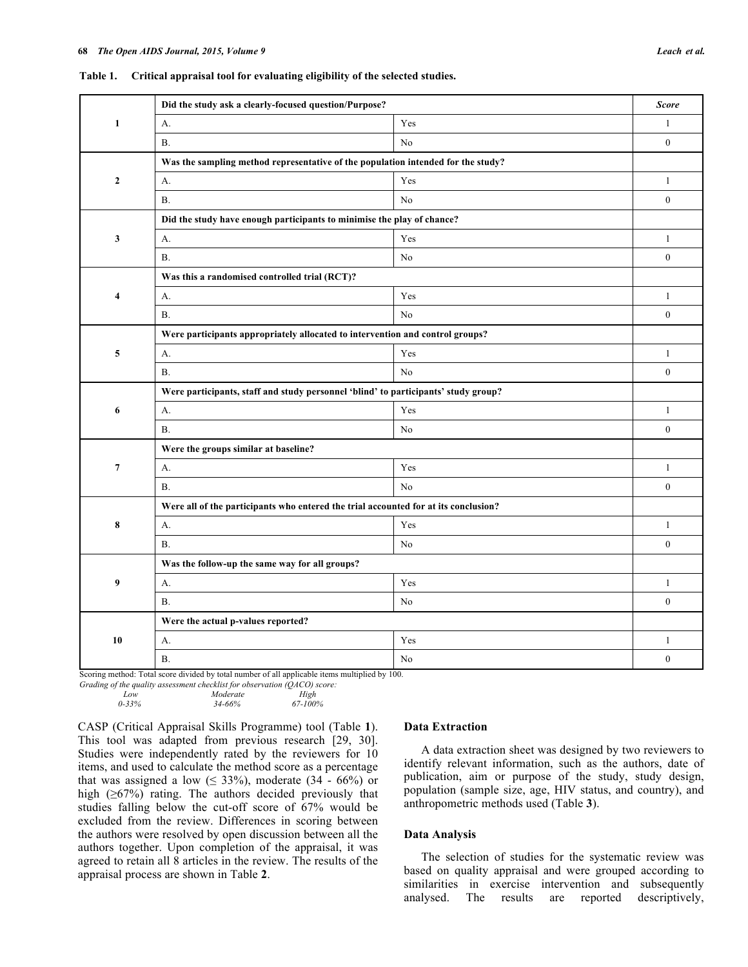| Yes<br>$\mathbf{1}$<br>$\mathbf{1}$<br>А.<br><b>B.</b><br>No<br>$\mathbf{0}$<br>Was the sampling method representative of the population intended for the study?<br>$\overline{2}$<br>Yes<br>$\mathbf{1}$<br>А.<br>N <sub>o</sub><br>$\mathbf{0}$<br><b>B.</b><br>Did the study have enough participants to minimise the play of chance?<br>$\mathbf{3}$<br>Yes<br>$\mathbf{1}$<br>А.<br>$\boldsymbol{0}$<br><b>B.</b><br>No<br>Was this a randomised controlled trial (RCT)?<br>Yes<br>$\mathbf{1}$<br>$\overline{\mathbf{4}}$<br>A.<br>$\boldsymbol{0}$<br><b>B.</b><br>No<br>Were participants appropriately allocated to intervention and control groups?<br>Yes<br>5<br>$\mathbf{1}$<br>А.<br>No<br>$\mathbf{0}$<br><b>B.</b><br>Were participants, staff and study personnel 'blind' to participants' study group?<br>6<br>Yes<br>$\mathbf{1}$<br>А.<br>$\mathbf{0}$<br><b>B.</b><br>No<br>Were the groups similar at baseline?<br>$\overline{7}$<br>Yes<br>$\mathbf{1}$<br>А.<br>$\mathbf{0}$<br><b>B.</b><br>No<br>Were all of the participants who entered the trial accounted for at its conclusion?<br>8<br>Yes<br>A <sub>1</sub><br>$\mathbf{1}$<br>$\boldsymbol{0}$<br><b>B.</b><br>No<br>Was the follow-up the same way for all groups?<br>9<br>Yes<br>$\mathbf{1}$<br>A.<br>$\mathbf{0}$<br><b>B</b> .<br>No<br>Were the actual p-values reported?<br>10<br>Yes<br>А.<br>$\mathbf{1}$<br>$\boldsymbol{0}$<br><b>B.</b><br>No | Did the study ask a clearly-focused question/Purpose? | <b>Score</b> |
|---------------------------------------------------------------------------------------------------------------------------------------------------------------------------------------------------------------------------------------------------------------------------------------------------------------------------------------------------------------------------------------------------------------------------------------------------------------------------------------------------------------------------------------------------------------------------------------------------------------------------------------------------------------------------------------------------------------------------------------------------------------------------------------------------------------------------------------------------------------------------------------------------------------------------------------------------------------------------------------------------------------------------------------------------------------------------------------------------------------------------------------------------------------------------------------------------------------------------------------------------------------------------------------------------------------------------------------------------------------------------------------------------------------------------------------------|-------------------------------------------------------|--------------|
|                                                                                                                                                                                                                                                                                                                                                                                                                                                                                                                                                                                                                                                                                                                                                                                                                                                                                                                                                                                                                                                                                                                                                                                                                                                                                                                                                                                                                                             |                                                       |              |
|                                                                                                                                                                                                                                                                                                                                                                                                                                                                                                                                                                                                                                                                                                                                                                                                                                                                                                                                                                                                                                                                                                                                                                                                                                                                                                                                                                                                                                             |                                                       |              |
|                                                                                                                                                                                                                                                                                                                                                                                                                                                                                                                                                                                                                                                                                                                                                                                                                                                                                                                                                                                                                                                                                                                                                                                                                                                                                                                                                                                                                                             |                                                       |              |
|                                                                                                                                                                                                                                                                                                                                                                                                                                                                                                                                                                                                                                                                                                                                                                                                                                                                                                                                                                                                                                                                                                                                                                                                                                                                                                                                                                                                                                             |                                                       |              |
|                                                                                                                                                                                                                                                                                                                                                                                                                                                                                                                                                                                                                                                                                                                                                                                                                                                                                                                                                                                                                                                                                                                                                                                                                                                                                                                                                                                                                                             |                                                       |              |
|                                                                                                                                                                                                                                                                                                                                                                                                                                                                                                                                                                                                                                                                                                                                                                                                                                                                                                                                                                                                                                                                                                                                                                                                                                                                                                                                                                                                                                             |                                                       |              |
|                                                                                                                                                                                                                                                                                                                                                                                                                                                                                                                                                                                                                                                                                                                                                                                                                                                                                                                                                                                                                                                                                                                                                                                                                                                                                                                                                                                                                                             |                                                       |              |
|                                                                                                                                                                                                                                                                                                                                                                                                                                                                                                                                                                                                                                                                                                                                                                                                                                                                                                                                                                                                                                                                                                                                                                                                                                                                                                                                                                                                                                             |                                                       |              |
|                                                                                                                                                                                                                                                                                                                                                                                                                                                                                                                                                                                                                                                                                                                                                                                                                                                                                                                                                                                                                                                                                                                                                                                                                                                                                                                                                                                                                                             |                                                       |              |
|                                                                                                                                                                                                                                                                                                                                                                                                                                                                                                                                                                                                                                                                                                                                                                                                                                                                                                                                                                                                                                                                                                                                                                                                                                                                                                                                                                                                                                             |                                                       |              |
|                                                                                                                                                                                                                                                                                                                                                                                                                                                                                                                                                                                                                                                                                                                                                                                                                                                                                                                                                                                                                                                                                                                                                                                                                                                                                                                                                                                                                                             |                                                       |              |
|                                                                                                                                                                                                                                                                                                                                                                                                                                                                                                                                                                                                                                                                                                                                                                                                                                                                                                                                                                                                                                                                                                                                                                                                                                                                                                                                                                                                                                             |                                                       |              |
|                                                                                                                                                                                                                                                                                                                                                                                                                                                                                                                                                                                                                                                                                                                                                                                                                                                                                                                                                                                                                                                                                                                                                                                                                                                                                                                                                                                                                                             |                                                       |              |
|                                                                                                                                                                                                                                                                                                                                                                                                                                                                                                                                                                                                                                                                                                                                                                                                                                                                                                                                                                                                                                                                                                                                                                                                                                                                                                                                                                                                                                             |                                                       |              |
|                                                                                                                                                                                                                                                                                                                                                                                                                                                                                                                                                                                                                                                                                                                                                                                                                                                                                                                                                                                                                                                                                                                                                                                                                                                                                                                                                                                                                                             |                                                       |              |
|                                                                                                                                                                                                                                                                                                                                                                                                                                                                                                                                                                                                                                                                                                                                                                                                                                                                                                                                                                                                                                                                                                                                                                                                                                                                                                                                                                                                                                             |                                                       |              |
|                                                                                                                                                                                                                                                                                                                                                                                                                                                                                                                                                                                                                                                                                                                                                                                                                                                                                                                                                                                                                                                                                                                                                                                                                                                                                                                                                                                                                                             |                                                       |              |
|                                                                                                                                                                                                                                                                                                                                                                                                                                                                                                                                                                                                                                                                                                                                                                                                                                                                                                                                                                                                                                                                                                                                                                                                                                                                                                                                                                                                                                             |                                                       |              |
|                                                                                                                                                                                                                                                                                                                                                                                                                                                                                                                                                                                                                                                                                                                                                                                                                                                                                                                                                                                                                                                                                                                                                                                                                                                                                                                                                                                                                                             |                                                       |              |
|                                                                                                                                                                                                                                                                                                                                                                                                                                                                                                                                                                                                                                                                                                                                                                                                                                                                                                                                                                                                                                                                                                                                                                                                                                                                                                                                                                                                                                             |                                                       |              |
|                                                                                                                                                                                                                                                                                                                                                                                                                                                                                                                                                                                                                                                                                                                                                                                                                                                                                                                                                                                                                                                                                                                                                                                                                                                                                                                                                                                                                                             |                                                       |              |
|                                                                                                                                                                                                                                                                                                                                                                                                                                                                                                                                                                                                                                                                                                                                                                                                                                                                                                                                                                                                                                                                                                                                                                                                                                                                                                                                                                                                                                             |                                                       |              |
|                                                                                                                                                                                                                                                                                                                                                                                                                                                                                                                                                                                                                                                                                                                                                                                                                                                                                                                                                                                                                                                                                                                                                                                                                                                                                                                                                                                                                                             |                                                       |              |
|                                                                                                                                                                                                                                                                                                                                                                                                                                                                                                                                                                                                                                                                                                                                                                                                                                                                                                                                                                                                                                                                                                                                                                                                                                                                                                                                                                                                                                             |                                                       |              |
|                                                                                                                                                                                                                                                                                                                                                                                                                                                                                                                                                                                                                                                                                                                                                                                                                                                                                                                                                                                                                                                                                                                                                                                                                                                                                                                                                                                                                                             |                                                       |              |
|                                                                                                                                                                                                                                                                                                                                                                                                                                                                                                                                                                                                                                                                                                                                                                                                                                                                                                                                                                                                                                                                                                                                                                                                                                                                                                                                                                                                                                             |                                                       |              |
|                                                                                                                                                                                                                                                                                                                                                                                                                                                                                                                                                                                                                                                                                                                                                                                                                                                                                                                                                                                                                                                                                                                                                                                                                                                                                                                                                                                                                                             |                                                       |              |
|                                                                                                                                                                                                                                                                                                                                                                                                                                                                                                                                                                                                                                                                                                                                                                                                                                                                                                                                                                                                                                                                                                                                                                                                                                                                                                                                                                                                                                             |                                                       |              |
|                                                                                                                                                                                                                                                                                                                                                                                                                                                                                                                                                                                                                                                                                                                                                                                                                                                                                                                                                                                                                                                                                                                                                                                                                                                                                                                                                                                                                                             |                                                       |              |

**Table 1. Critical appraisal tool for evaluating eligibility of the selected studies.**

hod: Total score divided by total number of all applicable items multiplied by 100.

*Grading of the quality assessment checklist for observation (QACO) score: Low Moderate High*<br>0-33% 34-66% 67-100%  *0-33% 34-66% 67-100%*

CASP (Critical Appraisal Skills Programme) tool (Table **1**). This tool was adapted from previous research [29, 30]. Studies were independently rated by the reviewers for 10 items, and used to calculate the method score as a percentage that was assigned a low ( $\leq$  33%), moderate (34 - 66%) or high  $(\geq 67\%)$  rating. The authors decided previously that studies falling below the cut-off score of 67% would be excluded from the review. Differences in scoring between the authors were resolved by open discussion between all the authors together. Upon completion of the appraisal, it was agreed to retain all 8 articles in the review. The results of the appraisal process are shown in Table **2**.

## **Data Extraction**

A data extraction sheet was designed by two reviewers to identify relevant information, such as the authors, date of publication, aim or purpose of the study, study design, population (sample size, age, HIV status, and country), and anthropometric methods used (Table **3**).

## **Data Analysis**

The selection of studies for the systematic review was based on quality appraisal and were grouped according to similarities in exercise intervention and subsequently analysed. The results are reported descriptively,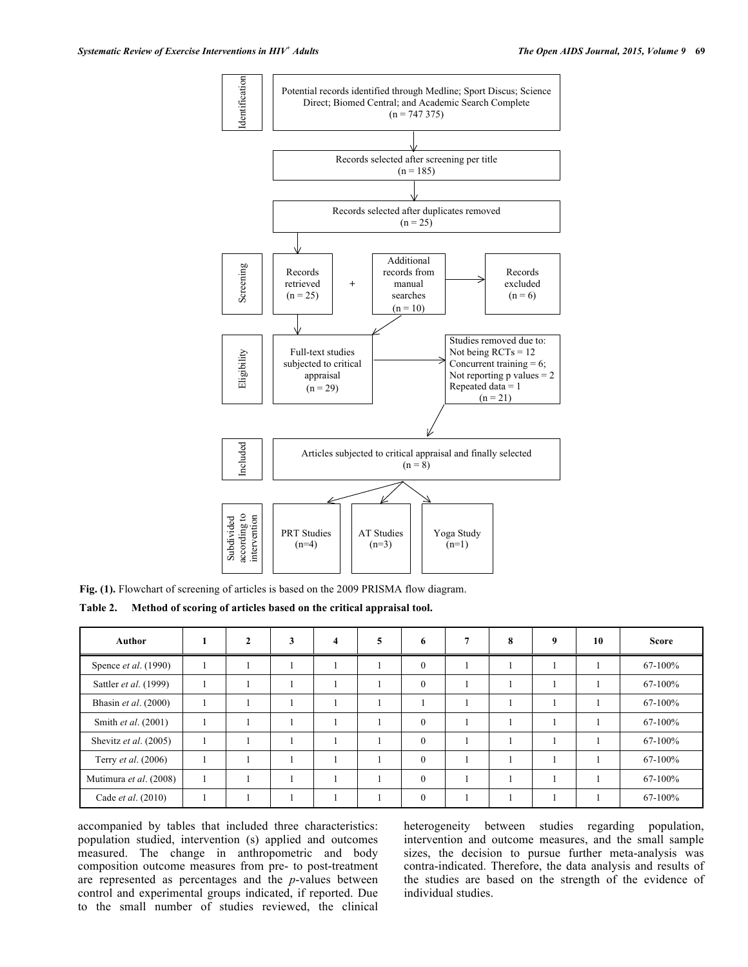

**Fig. (1).** Flowchart of screening of articles is based on the 2009 PRISMA flow diagram.

**Table 2. Method of scoring of articles based on the critical appraisal tool.**

| <b>Author</b>              | 2 | 3 | $\overline{\mathbf{4}}$ | 5 | 6            | 8 | 9 | 10 | <b>Score</b> |
|----------------------------|---|---|-------------------------|---|--------------|---|---|----|--------------|
| Spence et al. (1990)       |   |   |                         |   | $\mathbf{0}$ |   |   |    | 67-100%      |
| Sattler et al. (1999)      |   |   |                         |   | $\mathbf{0}$ |   |   |    | 67-100%      |
| Bhasin et al. (2000)       |   |   |                         |   |              |   |   |    | 67-100%      |
| Smith et al. (2001)        |   |   |                         |   | $\theta$     |   |   |    | 67-100%      |
| Shevitz et al. (2005)      |   |   |                         |   | $\theta$     |   |   |    | 67-100%      |
| Terry <i>et al.</i> (2006) |   |   |                         |   | $\theta$     |   |   |    | $67-100%$    |
| Mutimura et al. (2008)     |   |   |                         |   | $\theta$     |   |   |    | 67-100%      |
| Cade <i>et al.</i> (2010)  |   |   |                         |   | $\theta$     |   |   |    | 67-100%      |

accompanied by tables that included three characteristics: population studied, intervention (s) applied and outcomes measured. The change in anthropometric and body composition outcome measures from pre- to post-treatment are represented as percentages and the *p*-values between control and experimental groups indicated, if reported. Due to the small number of studies reviewed, the clinical heterogeneity between studies regarding population, intervention and outcome measures, and the small sample sizes, the decision to pursue further meta-analysis was contra-indicated. Therefore, the data analysis and results of the studies are based on the strength of the evidence of individual studies.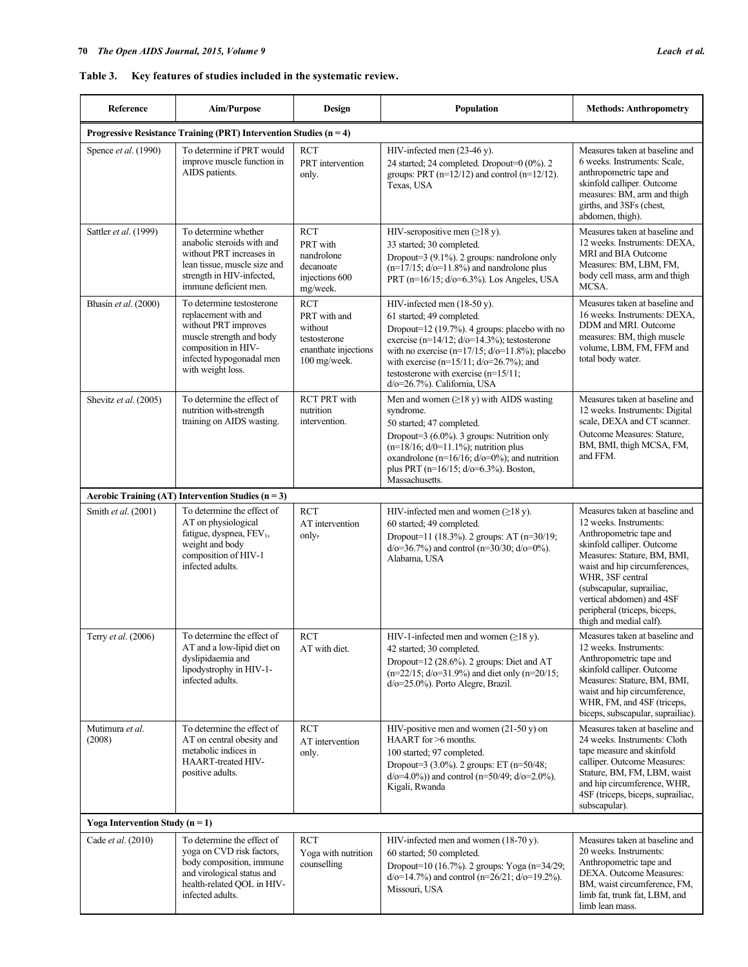# **Table 3. Key features of studies included in the systematic review.**

| Reference                           | <b>Aim/Purpose</b>                                                                                                                                                            | <b>Design</b>                                                                                 | Population                                                                                                                                                                                                                                                                                                                                              | <b>Methods: Anthropometry</b>                                                                                                                                                                                                                                                                                              |
|-------------------------------------|-------------------------------------------------------------------------------------------------------------------------------------------------------------------------------|-----------------------------------------------------------------------------------------------|---------------------------------------------------------------------------------------------------------------------------------------------------------------------------------------------------------------------------------------------------------------------------------------------------------------------------------------------------------|----------------------------------------------------------------------------------------------------------------------------------------------------------------------------------------------------------------------------------------------------------------------------------------------------------------------------|
|                                     | Progressive Resistance Training (PRT) Intervention Studies ( $n = 4$ )                                                                                                        |                                                                                               |                                                                                                                                                                                                                                                                                                                                                         |                                                                                                                                                                                                                                                                                                                            |
| Spence et al. (1990)                | To determine if PRT would<br>improve muscle function in<br>AIDS patients.                                                                                                     | <b>RCT</b><br>PRT intervention<br>only.                                                       | HIV-infected men $(23-46 \text{ y})$ .<br>24 started; 24 completed. Dropout=0 (0%). 2<br>groups: PRT $(n=12/12)$ and control $(n=12/12)$ .<br>Texas, USA                                                                                                                                                                                                | Measures taken at baseline and<br>6 weeks. Instruments: Scale,<br>anthropometric tape and<br>skinfold calliper. Outcome<br>measures: BM, arm and thigh<br>girths, and 3SFs (chest,<br>abdomen, thigh).                                                                                                                     |
| Sattler et al. (1999)               | To determine whether<br>anabolic steroids with and<br>without PRT increases in<br>lean tissue, muscle size and<br>strength in HIV-infected,<br>immune deficient men.          | <b>RCT</b><br>PRT with<br>nandrolone<br>decanoate<br>injections 600<br>mg/week.               | HIV-seropositive men $(\geq 18 \text{ y})$ .<br>33 started; 30 completed.<br>Dropout=3 (9.1%). 2 groups: nandrolone only<br>$(n=17/15; d/0=11.8\%)$ and nandrolone plus<br>PRT (n=16/15; d/o=6.3%). Los Angeles, USA                                                                                                                                    | Measures taken at baseline and<br>12 weeks. Instruments: DEXA,<br>MRI and BIA Outcome<br>Measures: BM, LBM, FM,<br>body cell mass, arm and thigh<br>MCSA.                                                                                                                                                                  |
| Bhasin et al. (2000)                | To determine testosterone<br>replacement with and<br>without PRT improves<br>muscle strength and body<br>composition in HIV-<br>infected hypogonadal men<br>with weight loss. | <b>RCT</b><br>PRT with and<br>without<br>testosterone<br>enanthate injections<br>100 mg/week. | HIV-infected men (18-50 y).<br>61 started; 49 completed.<br>Dropout=12 $(19.7%)$ . 4 groups: placebo with no<br>exercise (n= $14/12$ ; $d$ /o= $14.3\%$ ); testosterone<br>with no exercise $(n=17/15; d/20=11.8\%)$ ; placebo<br>with exercise (n=15/11; $d$ /o=26.7%); and<br>testosterone with exercise $(n=15/11)$ ;<br>d/o=26.7%). California, USA | Measures taken at baseline and<br>16 weeks. Instruments: DEXA,<br>DDM and MRI. Outcome<br>measures: BM, thigh muscle<br>volume, LBM, FM, FFM and<br>total body water.                                                                                                                                                      |
| Shevitz et al. (2005)               | To determine the effect of<br>nutrition with strength<br>training on AIDS wasting.                                                                                            | <b>RCT PRT with</b><br>nutrition<br>intervention.                                             | Men and women $(\geq 18 \text{ y})$ with AIDS wasting<br>syndrome.<br>50 started; 47 completed.<br>Dropout=3 (6.0%). 3 groups: Nutrition only<br>$(n=18/16; d/0=11.1\%)$ ; nutrition plus<br>oxandrolone ( $n=16/16$ ; $d/\sigma=0\%$ ); and nutrition<br>plus PRT ( $n=16/15$ ; $d/0=6.3%$ ). Boston,<br>Massachusetts.                                | Measures taken at baseline and<br>12 weeks. Instruments: Digital<br>scale, DEXA and CT scanner.<br>Outcome Measures: Stature,<br>BM, BMI, thigh MCSA, FM,<br>and FFM.                                                                                                                                                      |
|                                     | Aerobic Training (AT) Intervention Studies ( $n = 3$ )                                                                                                                        |                                                                                               |                                                                                                                                                                                                                                                                                                                                                         |                                                                                                                                                                                                                                                                                                                            |
| Smith et al. (2001)                 | To determine the effect of<br>AT on physiological<br>fatigue, dyspnea, FEV <sub>1</sub> ,<br>weight and body<br>composition of HIV-1<br>infected adults.                      | <b>RCT</b><br>AT intervention<br>only.                                                        | HIV-infected men and women $(\geq 18$ y).<br>60 started; 49 completed.<br>Dropout=11 (18.3%). 2 groups: AT (n=30/19;<br>$d$ /o=36.7%) and control (n=30/30; $d$ /o=0%).<br>Alabama, USA                                                                                                                                                                 | Measures taken at baseline and<br>12 weeks. Instruments:<br>Anthropometric tape and<br>skinfold calliper. Outcome<br>Measures: Stature, BM, BMI,<br>waist and hip circumferences,<br>WHR, 3SF central<br>(subscapular, suprailiac,<br>vertical abdomen) and 4SF<br>peripheral (triceps, biceps,<br>thigh and medial calf). |
| Terry et al. (2006)                 | To determine the effect of<br>AT and a low-lipid diet on<br>dyslipidaemia and<br>lipodystrophy in HIV-1-<br>infected adults.                                                  | <b>RCT</b><br>AT with diet.                                                                   | HIV-1-infected men and women $(\geq 18 \text{ y})$ .<br>42 started; 30 completed.<br>Dropout=12 (28.6%). 2 groups: Diet and AT<br>$(n=22/15; d/0=31.9%)$ and diet only $(n=20/15;$<br>$d$ /o=25.0%). Porto Alegre, Brazil.                                                                                                                              | Measures taken at baseline and<br>12 weeks. Instruments:<br>Anthropometric tape and<br>skinfold calliper. Outcome<br>Measures: Stature, BM, BMI,<br>waist and hip circumference,<br>WHR, FM, and 4SF (triceps,<br>biceps, subscapular, suprailiac).                                                                        |
| Mutimura et al.<br>(2008)           | To determine the effect of<br>AT on central obesity and<br>metabolic indices in<br><b>HAART-treated HIV-</b><br>positive adults.                                              | <b>RCT</b><br>AT intervention<br>only.                                                        | HIV-positive men and women $(21-50 \text{ y})$ on<br>HAART for >6 months.<br>100 started; 97 completed.<br>Dropout=3 $(3.0\%)$ . 2 groups: ET $(n=50/48)$ ;<br>$d$ /o=4.0%)) and control (n=50/49; $d$ /o=2.0%).<br>Kigali, Rwanda                                                                                                                      | Measures taken at baseline and<br>24 weeks. Instruments: Cloth<br>tape measure and skinfold<br>calliper. Outcome Measures:<br>Stature, BM, FM, LBM, waist<br>and hip circumference, WHR,<br>4SF (triceps, biceps, suprailiac,<br>subscapular).                                                                             |
| Yoga Intervention Study ( $n = 1$ ) |                                                                                                                                                                               |                                                                                               |                                                                                                                                                                                                                                                                                                                                                         |                                                                                                                                                                                                                                                                                                                            |
| Cade et al. (2010)                  | To determine the effect of<br>yoga on CVD risk factors,<br>body composition, immune<br>and virological status and<br>health-related QOL in HIV-<br>infected adults.           | <b>RCT</b><br>Yoga with nutrition<br>counselling                                              | HIV-infected men and women (18-70 y).<br>60 started; 50 completed.<br>Dropout=10 (16.7%). 2 groups: Yoga (n=34/29;<br>$d$ /o=14.7%) and control (n=26/21; $d$ /o=19.2%).<br>Missouri, USA                                                                                                                                                               | Measures taken at baseline and<br>20 weeks. Instruments:<br>Anthropometric tape and<br>DEXA. Outcome Measures:<br>BM, waist circumference, FM,<br>limb fat, trunk fat, LBM, and<br>limb lean mass.                                                                                                                         |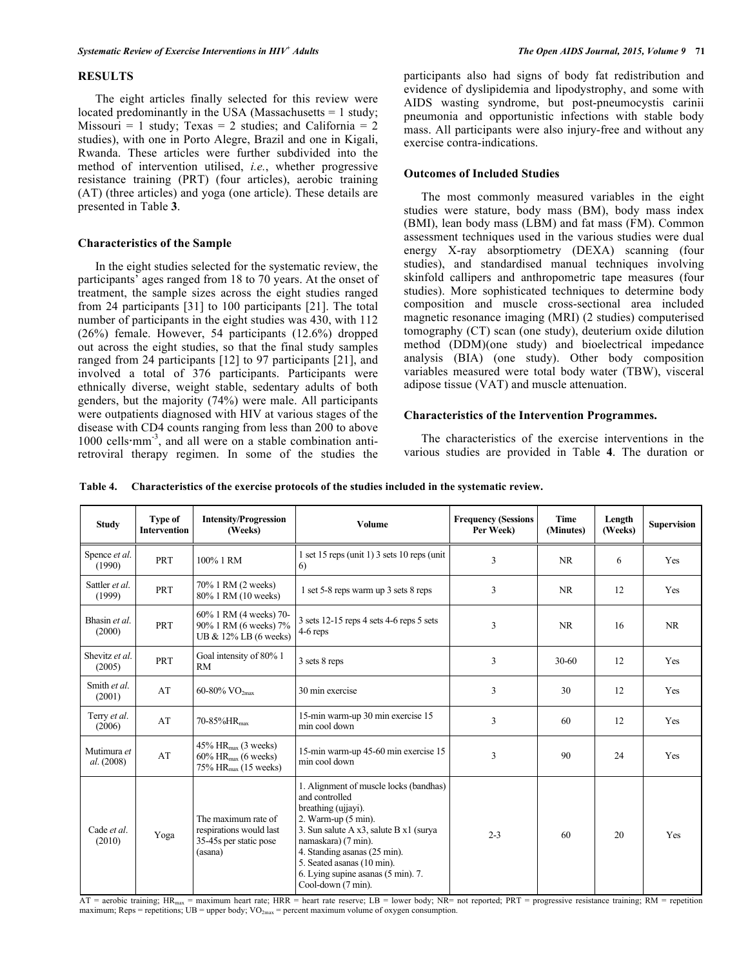# **RESULTS**

The eight articles finally selected for this review were located predominantly in the USA (Massachusetts = 1 study; Missouri = 1 study; Texas = 2 studies; and California = 2 studies), with one in Porto Alegre, Brazil and one in Kigali, Rwanda. These articles were further subdivided into the method of intervention utilised, *i.e.*, whether progressive resistance training (PRT) (four articles), aerobic training (AT) (three articles) and yoga (one article). These details are presented in Table **3**.

## **Characteristics of the Sample**

In the eight studies selected for the systematic review, the participants' ages ranged from 18 to 70 years. At the onset of treatment, the sample sizes across the eight studies ranged from 24 participants [31] to 100 participants [21]. The total number of participants in the eight studies was 430, with 112 (26%) female. However, 54 participants (12.6%) dropped out across the eight studies, so that the final study samples ranged from 24 participants [12] to 97 participants [21], and involved a total of 376 participants. Participants were ethnically diverse, weight stable, sedentary adults of both genders, but the majority (74%) were male. All participants were outpatients diagnosed with HIV at various stages of the disease with CD4 counts ranging from less than 200 to above 1000 cells mm<sup>-3</sup>, and all were on a stable combination antiretroviral therapy regimen. In some of the studies the participants also had signs of body fat redistribution and evidence of dyslipidemia and lipodystrophy, and some with AIDS wasting syndrome, but post-pneumocystis carinii pneumonia and opportunistic infections with stable body mass. All participants were also injury-free and without any exercise contra-indications.

## **Outcomes of Included Studies**

The most commonly measured variables in the eight studies were stature, body mass (BM), body mass index (BMI), lean body mass (LBM) and fat mass (FM). Common assessment techniques used in the various studies were dual energy X-ray absorptiometry (DEXA) scanning (four studies), and standardised manual techniques involving skinfold callipers and anthropometric tape measures (four studies). More sophisticated techniques to determine body composition and muscle cross-sectional area included magnetic resonance imaging (MRI) (2 studies) computerised tomography (CT) scan (one study), deuterium oxide dilution method (DDM)(one study) and bioelectrical impedance analysis (BIA) (one study). Other body composition variables measured were total body water (TBW), visceral adipose tissue (VAT) and muscle attenuation.

# **Characteristics of the Intervention Programmes.**

The characteristics of the exercise interventions in the various studies are provided in Table **4**. The duration or

**Table 4. Characteristics of the exercise protocols of the studies included in the systematic review.**

| <b>Study</b>              | <b>Type of</b><br><b>Intervention</b> | <b>Intensity/Progression</b><br>(Weeks)                                                                      | <b>Volume</b>                                                                                                                                                                                                                                                                                                 | <b>Frequency (Sessions</b><br>Per Week) | <b>Time</b><br>(Minutes) | Length<br>(Weeks) | <b>Supervision</b> |
|---------------------------|---------------------------------------|--------------------------------------------------------------------------------------------------------------|---------------------------------------------------------------------------------------------------------------------------------------------------------------------------------------------------------------------------------------------------------------------------------------------------------------|-----------------------------------------|--------------------------|-------------------|--------------------|
| Spence et al.<br>(1990)   | <b>PRT</b>                            | 100% 1 RM                                                                                                    | 1 set 15 reps (unit 1) 3 sets 10 reps (unit<br>6)                                                                                                                                                                                                                                                             | 3                                       | NR.                      | 6                 | Yes                |
| Sattler et al.<br>(1999)  | <b>PRT</b>                            | 70% 1 RM (2 weeks)<br>80% 1 RM (10 weeks)                                                                    | 1 set 5-8 reps warm up 3 sets 8 reps                                                                                                                                                                                                                                                                          | 3                                       | <b>NR</b>                | 12                | Yes                |
| Bhasin et al.<br>(2000)   | <b>PRT</b>                            | 60% 1 RM (4 weeks) 70-<br>90% 1 RM (6 weeks) 7%<br>UB & 12% LB (6 weeks)                                     | 3 sets 12-15 reps 4 sets 4-6 reps 5 sets<br>$4-6$ reps                                                                                                                                                                                                                                                        | 3                                       | <b>NR</b>                | 16                | NR                 |
| Shevitz et al.<br>(2005)  | PRT                                   | Goal intensity of 80% 1<br><b>RM</b>                                                                         | 3 sets 8 reps                                                                                                                                                                                                                                                                                                 | 3                                       | $30-60$                  | 12                | Yes                |
| Smith et al.<br>(2001)    | AT                                    | $60-80\%$ VO <sub>2max</sub>                                                                                 | 30 min exercise                                                                                                                                                                                                                                                                                               | 3                                       | 30                       | 12                | Yes                |
| Terry et al.<br>(2006)    | AT                                    | 70-85%HR <sub>max</sub>                                                                                      | 15-min warm-up 30 min exercise 15<br>min cool down                                                                                                                                                                                                                                                            | 3                                       | 60                       | 12                | Yes                |
| Mutimura et<br>al. (2008) | AT                                    | $45\%$ HR <sub>max</sub> (3 weeks)<br>$60\%$ HR <sub>max</sub> (6 weeks)<br>75% HR <sub>max</sub> (15 weeks) | 15-min warm-up 45-60 min exercise 15<br>min cool down                                                                                                                                                                                                                                                         | 3                                       | 90                       | 24                | Yes                |
| Cade et al.<br>(2010)     | Yoga                                  | The maximum rate of<br>respirations would last<br>35-45s per static pose<br>(asana)                          | 1. Alignment of muscle locks (bandhas)<br>and controlled<br>breathing (ujjayi).<br>2. Warm-up $(5 \text{ min})$ .<br>3. Sun salute A x3, salute B x1 (surya)<br>namaskara) (7 min).<br>4. Standing asanas (25 min).<br>5. Seated asanas (10 min).<br>6. Lying supine asanas (5 min). 7.<br>Cool-down (7 min). | $2 - 3$                                 | 60                       | 20                | Yes                |

 $\overline{AT}$  = aerobic training;  $HR_{\text{max}}$  = maximum heart rate; HRR = heart rate reserve; LB = lower body; NR= not reported; PRT = progressive resistance training; RM = repetition maximum; Reps = repetitions;  $UB = upper body$ ;  $VO_{2max} = percent$  maximum volume of oxygen consumption.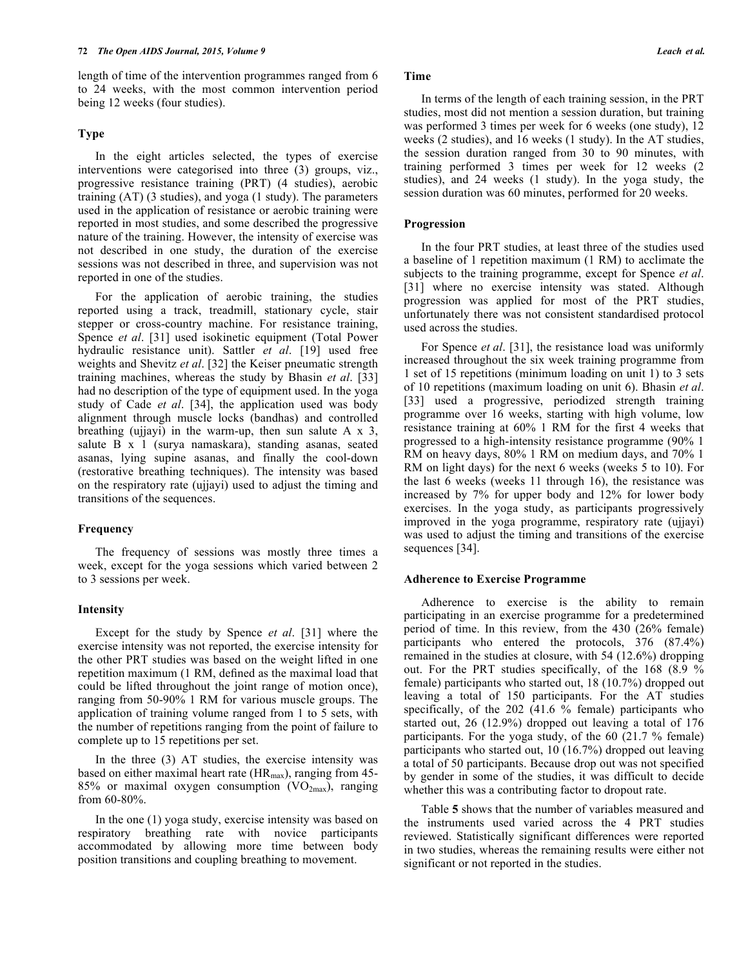length of time of the intervention programmes ranged from 6 to 24 weeks, with the most common intervention period being 12 weeks (four studies).

# **Type**

In the eight articles selected, the types of exercise interventions were categorised into three (3) groups, viz., progressive resistance training (PRT) (4 studies), aerobic training (AT) (3 studies), and yoga (1 study). The parameters used in the application of resistance or aerobic training were reported in most studies, and some described the progressive nature of the training. However, the intensity of exercise was not described in one study, the duration of the exercise sessions was not described in three, and supervision was not reported in one of the studies.

For the application of aerobic training, the studies reported using a track, treadmill, stationary cycle, stair stepper or cross-country machine. For resistance training, Spence *et al*. [31] used isokinetic equipment (Total Power hydraulic resistance unit). Sattler *et al*. [19] used free weights and Shevitz *et al*. [32] the Keiser pneumatic strength training machines, whereas the study by Bhasin *et al*. [33] had no description of the type of equipment used. In the yoga study of Cade *et al*. [34], the application used was body alignment through muscle locks (bandhas) and controlled breathing (ujjayi) in the warm-up, then sun salute  $A \times 3$ , salute B x 1 (surya namaskara), standing asanas, seated asanas, lying supine asanas, and finally the cool-down (restorative breathing techniques). The intensity was based on the respiratory rate (ujjayi) used to adjust the timing and transitions of the sequences.

## **Frequency**

The frequency of sessions was mostly three times a week, except for the yoga sessions which varied between 2 to 3 sessions per week.

## **Intensity**

Except for the study by Spence *et al*. [31] where the exercise intensity was not reported, the exercise intensity for the other PRT studies was based on the weight lifted in one repetition maximum (1 RM, defined as the maximal load that could be lifted throughout the joint range of motion once), ranging from 50-90% 1 RM for various muscle groups. The application of training volume ranged from 1 to 5 sets, with the number of repetitions ranging from the point of failure to complete up to 15 repetitions per set.

In the three (3) AT studies, the exercise intensity was based on either maximal heart rate  $(HR_{\text{max}})$ , ranging from 45-85% or maximal oxygen consumption  $(VO_{2max})$ , ranging from 60-80%.

In the one (1) yoga study, exercise intensity was based on respiratory breathing rate with novice participants accommodated by allowing more time between body position transitions and coupling breathing to movement.

# **Time**

In terms of the length of each training session, in the PRT studies, most did not mention a session duration, but training was performed 3 times per week for 6 weeks (one study), 12 weeks (2 studies), and 16 weeks (1 study). In the AT studies, the session duration ranged from 30 to 90 minutes, with training performed 3 times per week for 12 weeks (2 studies), and 24 weeks (1 study). In the yoga study, the session duration was 60 minutes, performed for 20 weeks.

#### **Progression**

In the four PRT studies, at least three of the studies used a baseline of 1 repetition maximum (1 RM) to acclimate the subjects to the training programme, except for Spence *et al*. [31] where no exercise intensity was stated. Although progression was applied for most of the PRT studies, unfortunately there was not consistent standardised protocol used across the studies.

For Spence *et al*. [31], the resistance load was uniformly increased throughout the six week training programme from 1 set of 15 repetitions (minimum loading on unit 1) to 3 sets of 10 repetitions (maximum loading on unit 6). Bhasin *et al*. [33] used a progressive, periodized strength training programme over 16 weeks, starting with high volume, low resistance training at 60% 1 RM for the first 4 weeks that progressed to a high-intensity resistance programme (90% 1 RM on heavy days, 80% 1 RM on medium days, and 70% 1 RM on light days) for the next 6 weeks (weeks 5 to 10). For the last 6 weeks (weeks 11 through 16), the resistance was increased by 7% for upper body and 12% for lower body exercises. In the yoga study, as participants progressively improved in the yoga programme, respiratory rate (ujjayi) was used to adjust the timing and transitions of the exercise sequences [34].

#### **Adherence to Exercise Programme**

Adherence to exercise is the ability to remain participating in an exercise programme for a predetermined period of time. In this review, from the 430 (26% female) participants who entered the protocols, 376 (87.4%) remained in the studies at closure, with 54 (12.6%) dropping out. For the PRT studies specifically, of the 168 (8.9  $\frac{6}{10}$ female) participants who started out, 18 (10.7%) dropped out leaving a total of 150 participants. For the AT studies specifically, of the 202 (41.6 % female) participants who started out, 26 (12.9%) dropped out leaving a total of 176 participants. For the yoga study, of the 60 (21.7 % female) participants who started out, 10 (16.7%) dropped out leaving a total of 50 participants. Because drop out was not specified by gender in some of the studies, it was difficult to decide whether this was a contributing factor to dropout rate.

Table **5** shows that the number of variables measured and the instruments used varied across the 4 PRT studies reviewed. Statistically significant differences were reported in two studies, whereas the remaining results were either not significant or not reported in the studies.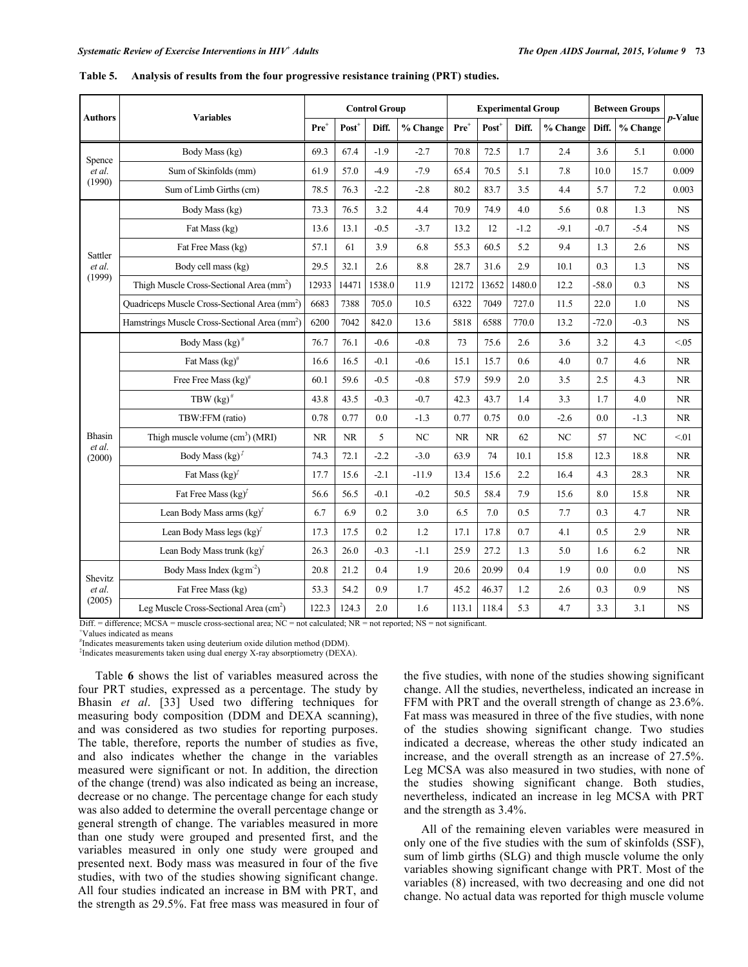|                  |                                                           |                  |           | <b>Control Group</b> |                 |           |                   | <b>Experimental Group</b> |          |         | <b>Between Groups</b> |           |
|------------------|-----------------------------------------------------------|------------------|-----------|----------------------|-----------------|-----------|-------------------|---------------------------|----------|---------|-----------------------|-----------|
| Authors          | <b>Variables</b>                                          | Pre <sup>+</sup> | $Post^+$  | Diff.                | % Change        | $Pre+$    | Post <sup>+</sup> | Diff.                     | % Change | Diff.   | % Change              | p-Value   |
| Spence           | Body Mass (kg)                                            | 69.3             | 67.4      | $-1.9$               | $-2.7$          | 70.8      | 72.5              | 1.7                       | 2.4      | 3.6     | 5.1                   | 0.000     |
| et al.           | Sum of Skinfolds (mm)                                     | 61.9             | 57.0      | $-4.9$               | $-7.9$          | 65.4      | 70.5              | 5.1                       | 7.8      | 10.0    | 15.7                  | 0.009     |
| (1990)           | Sum of Limb Girths (cm)                                   | 78.5             | 76.3      | $-2.2$               | $-2.8$          | 80.2      | 83.7              | 3.5                       | 4.4      | 5.7     | 7.2                   | 0.003     |
|                  | Body Mass (kg)                                            | 73.3             | 76.5      | 3.2                  | 4.4             | 70.9      | 74.9              | 4.0                       | 5.6      | $0.8\,$ | 1.3                   | <b>NS</b> |
|                  | Fat Mass (kg)                                             | 13.6             | 13.1      | $-0.5$               | $-3.7$          | 13.2      | 12                | $-1.2$                    | $-9.1$   | $-0.7$  | $-5.4$                | <b>NS</b> |
| Sattler          | Fat Free Mass (kg)                                        | 57.1             | 61        | 3.9                  | 6.8             | 55.3      | 60.5              | 5.2                       | 9.4      | 1.3     | 2.6                   | <b>NS</b> |
| et al.           | Body cell mass (kg)                                       | 29.5             | 32.1      | 2.6                  | $\!\!\!\!\!8.8$ | 28.7      | 31.6              | 2.9                       | 10.1     | 0.3     | 1.3                   | <b>NS</b> |
| (1999)           | Thigh Muscle Cross-Sectional Area (mm <sup>2</sup> )      | 12933            | 14471     | 1538.0               | 11.9            | 12172     | 13652             | 1480.0                    | 12.2     | $-58.0$ | 0.3                   | <b>NS</b> |
|                  | Quadriceps Muscle Cross-Sectional Area (mm <sup>2</sup> ) | 6683             | 7388      | 705.0                | 10.5            | 6322      | 7049              | 727.0                     | 11.5     | 22.0    | 1.0                   | <b>NS</b> |
|                  | Hamstrings Muscle Cross-Sectional Area (mm <sup>2</sup> ) | 6200             | 7042      | 842.0                | 13.6            | 5818      | 6588              | 770.0                     | 13.2     | $-72.0$ | $-0.3$                | <b>NS</b> |
|                  | Body Mass (kg) <sup>#</sup>                               | 76.7             | 76.1      | $-0.6$               | $-0.8$          | 73        | 75.6              | 2.6                       | 3.6      | 3.2     | 4.3                   | < 0.05    |
|                  | Fat Mass $\left(\text{kg}\right)^{\#}$                    | 16.6             | 16.5      | $-0.1$               | $-0.6$          | 15.1      | 15.7              | 0.6                       | 4.0      | 0.7     | 4.6                   | NR.       |
|                  | Free Free Mass $(kg)^{\#}$                                | 60.1             | 59.6      | $-0.5$               | $-0.8$          | 57.9      | 59.9              | 2.0                       | 3.5      | 2.5     | 4.3                   | NR.       |
|                  | TBW $\left(\text{kg}\right)^{\#}$                         | 43.8             | 43.5      | $-0.3$               | $-0.7$          | 42.3      | 43.7              | 1.4                       | 3.3      | 1.7     | 4.0                   | NR.       |
|                  | TBW:FFM (ratio)                                           | 0.78             | 0.77      | 0.0                  | $-1.3$          | 0.77      | 0.75              | 0.0                       | $-2.6$   | 0.0     | $-1.3$                | NR.       |
| Bhasin<br>et al. | Thigh muscle volume (cm <sup>3</sup> ) (MRI)              | <b>NR</b>        | <b>NR</b> | 5                    | NC              | <b>NR</b> | <b>NR</b>         | 62                        | NC       | 57      | NC                    | < 01      |
| (2000)           | Body Mass $(kg)^{\ddagger}$                               | 74.3             | 72.1      | $-2.2$               | $-3.0$          | 63.9      | 74                | 10.1                      | 15.8     | 12.3    | 18.8                  | NR        |
|                  | Fat Mass $(kg)^f$                                         | 17.7             | 15.6      | $-2.1$               | $-11.9$         | 13.4      | 15.6              | 2.2                       | 16.4     | 4.3     | 28.3                  | NR.       |
|                  | Fat Free Mass $(kg)^t$                                    | 56.6             | 56.5      | $-0.1$               | $-0.2$          | 50.5      | 58.4              | 7.9                       | 15.6     | 8.0     | 15.8                  | NR.       |
|                  | Lean Body Mass arms $(kg)^{\hat{i}}$                      | 6.7              | 6.9       | 0.2                  | 3.0             | 6.5       | 7.0               | 0.5                       | 7.7      | 0.3     | 4.7                   | NR        |
|                  | Lean Body Mass legs $(kg)^{t}$                            | 17.3             | 17.5      | 0.2                  | 1.2             | 17.1      | 17.8              | 0.7                       | 4.1      | 0.5     | 2.9                   | NR.       |
|                  | Lean Body Mass trunk $(kg)^{\dagger}$                     | 26.3             | 26.0      | $-0.3$               | $-1.1$          | 25.9      | 27.2              | 1.3                       | 5.0      | 1.6     | 6.2                   | NR.       |
| Shevitz          | Body Mass Index (kgm <sup>-2</sup> )                      | 20.8             | 21.2      | 0.4                  | 1.9             | 20.6      | 20.99             | 0.4                       | 1.9      | 0.0     | $0.0\,$               | NS        |
| et al.           | Fat Free Mass (kg)                                        | 53.3             | 54.2      | 0.9                  | 1.7             | 45.2      | 46.37             | 1.2                       | 2.6      | 0.3     | 0.9                   | <b>NS</b> |
| (2005)           | Leg Muscle Cross-Sectional Area (cm <sup>2</sup> )        | 122.3            | 124.3     | 2.0                  | 1.6             | 113.1     | 118.4             | 5.3                       | 4.7      | 3.3     | 3.1                   | <b>NS</b> |

|  | Table 5. Analysis of results from the four progressive resistance training (PRT) studies. |  |  |  |
|--|-------------------------------------------------------------------------------------------|--|--|--|
|--|-------------------------------------------------------------------------------------------|--|--|--|

Diff. = difference; MCSA = muscle cross-sectional area; NC = not calculated; NR = not reported; NS = not significant.

+ Values indicated as means #

Indicates measurements taken using deuterium oxide dilution method (DDM).

‡ Indicates measurements taken using dual energy X-ray absorptiometry (DEXA).

Table **6** shows the list of variables measured across the four PRT studies, expressed as a percentage. The study by Bhasin *et al*. [33] Used two differing techniques for measuring body composition (DDM and DEXA scanning), and was considered as two studies for reporting purposes. The table, therefore, reports the number of studies as five, and also indicates whether the change in the variables measured were significant or not. In addition, the direction of the change (trend) was also indicated as being an increase, decrease or no change. The percentage change for each study was also added to determine the overall percentage change or general strength of change. The variables measured in more than one study were grouped and presented first, and the variables measured in only one study were grouped and presented next. Body mass was measured in four of the five studies, with two of the studies showing significant change. All four studies indicated an increase in BM with PRT, and the strength as 29.5%. Fat free mass was measured in four of the five studies, with none of the studies showing significant change. All the studies, nevertheless, indicated an increase in FFM with PRT and the overall strength of change as 23.6%. Fat mass was measured in three of the five studies, with none of the studies showing significant change. Two studies indicated a decrease, whereas the other study indicated an increase, and the overall strength as an increase of 27.5%. Leg MCSA was also measured in two studies, with none of the studies showing significant change. Both studies, nevertheless, indicated an increase in leg MCSA with PRT and the strength as 3.4%.

All of the remaining eleven variables were measured in only one of the five studies with the sum of skinfolds (SSF), sum of limb girths (SLG) and thigh muscle volume the only variables showing significant change with PRT. Most of the variables (8) increased, with two decreasing and one did not change. No actual data was reported for thigh muscle volume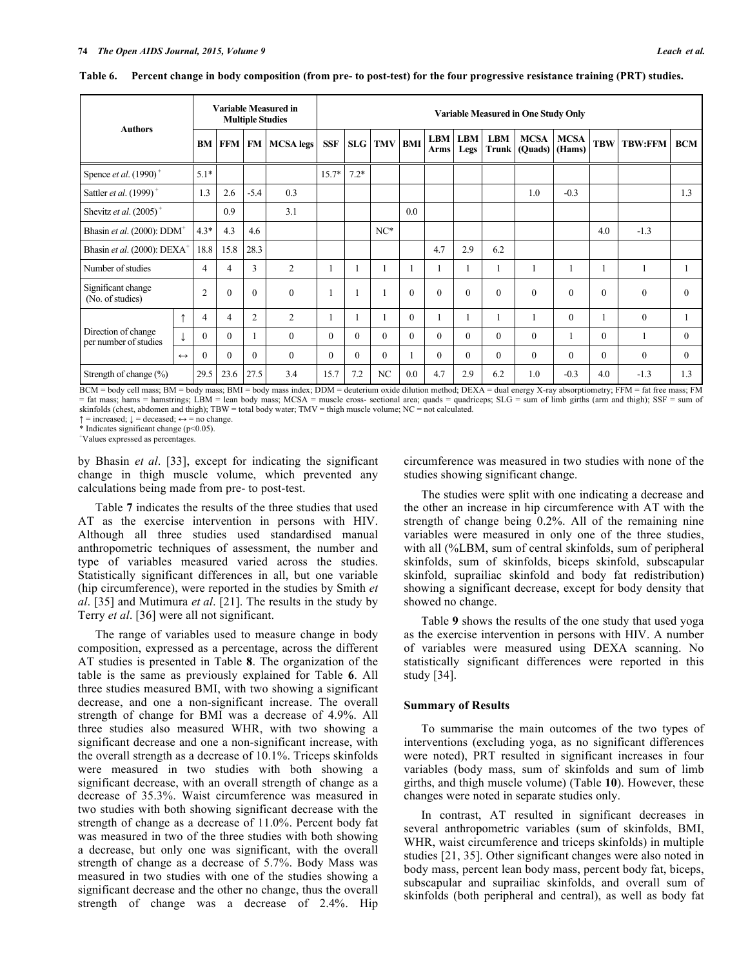|                                              |                   |                |                |                | <b>Variable Measured in</b><br><b>Multiple Studies</b> | <b>Variable Measured in One Study Only</b> |          |                    |          |          |                        |                            |                        |                       |            |                |            |
|----------------------------------------------|-------------------|----------------|----------------|----------------|--------------------------------------------------------|--------------------------------------------|----------|--------------------|----------|----------|------------------------|----------------------------|------------------------|-----------------------|------------|----------------|------------|
| <b>Authors</b>                               |                   |                | <b>BM FFM</b>  |                | <b>FM   MCSA legs</b>                                  | <b>SSF</b>                                 |          | <b>SLG TMV BMI</b> |          | Arms     | <b>LBM LBM</b><br>Legs | <b>LBM</b><br><b>Trunk</b> | <b>MCSA</b><br>(Quads) | <b>MCSA</b><br>(Hams) | <b>TBW</b> | <b>TBW:FFM</b> | <b>BCM</b> |
| Spence <i>et al.</i> $(1990)^+$              |                   | $5.1*$         |                |                |                                                        | $15.7*$                                    | $7.2*$   |                    |          |          |                        |                            |                        |                       |            |                |            |
| Sattler et al. (1999) <sup>+</sup>           |                   | 1.3            | 2.6            | $-5.4$         | 0.3                                                    |                                            |          |                    |          |          |                        |                            | 1.0                    | $-0.3$                |            |                | 1.3        |
| Shevitz et al. $(2005)^+$                    |                   |                | 0.9            |                | 3.1                                                    |                                            |          |                    | 0.0      |          |                        |                            |                        |                       |            |                |            |
| Bhasin et al. (2000): $DDM^+$                |                   | $4.3*$         | 4.3            | 4.6            |                                                        |                                            |          | $NC*$              |          |          |                        |                            |                        |                       | 4.0        | $-1.3$         |            |
| Bhasin et al. (2000): DEXA <sup>+</sup>      |                   | 18.8           | 15.8           | 28.3           |                                                        |                                            |          |                    |          | 4.7      | 2.9                    | 6.2                        |                        |                       |            |                |            |
| Number of studies                            |                   | 4              | $\overline{4}$ | 3              | $\overline{2}$                                         | 1                                          | 1        | 1                  |          |          |                        |                            | ш                      |                       |            | 1              |            |
| Significant change<br>(No. of studies)       |                   | $\overline{2}$ | $\theta$       | $\Omega$       | $\mathbf{0}$                                           |                                            | 1        | $\mathbf{1}$       | $\Omega$ | $\theta$ | $\theta$               | $\theta$                   | $\theta$               | $\Omega$              | $\Omega$   | $\mathbf{0}$   | $\theta$   |
|                                              | $\uparrow$        | 4              | 4              | $\overline{2}$ | $\overline{2}$                                         |                                            |          |                    | $\theta$ |          |                        |                            |                        | $\Omega$              |            | $\theta$       |            |
| Direction of change<br>per number of studies |                   | $\Omega$       | $\Omega$       |                | $\theta$                                               | $\mathbf{0}$                               | $\theta$ | $\theta$           | $\Omega$ | $\Omega$ | $\theta$               | $\theta$                   | $\theta$               |                       | $\Omega$   |                | $\theta$   |
|                                              | $\leftrightarrow$ | $\theta$       | $\Omega$       | $\Omega$       | $\theta$                                               | $\Omega$                                   | $\Omega$ | $\theta$           |          | $\Omega$ | $\theta$               | $\theta$                   | $\theta$               | $\Omega$              | $\Omega$   | $\theta$       | $\theta$   |
| Strength of change (%)                       |                   | 29.5           | 23.6           | 27.5           | 3.4                                                    | 15.7                                       | 7.2      | NC                 | 0.0      | 4.7      | 2.9                    | 6.2                        | 1.0                    | $-0.3$                | 4.0        | $-1.3$         | 1.3        |

Table 6. Percent change in body composition (from pre- to post-test) for the four progressive resistance training (PRT) studies.

BCM = body cell mass; BM = body mass; BMI = body mass index; DDM = deuterium oxide dilution method; DEXA = dual energy X-ray absorptiometry; FFM = fat free mass; FM = fat mass; hams = hamstrings; LBM = lean body mass; MCSA = muscle cross- sectional area; quads = quadriceps; SLG = sum of limb girths (arm and thigh); SSF = sum of skinfolds (chest, abdomen and thigh); TBW = total body water; TMV = thigh muscle volume; NC = not calculated.

 $\uparrow$  = increased;  $\downarrow$  = deceased;  $\leftrightarrow$  = no change.

\* Indicates significant change (p<0.05).

+ Values expressed as percentages.

by Bhasin *et al*. [33], except for indicating the significant change in thigh muscle volume, which prevented any calculations being made from pre- to post-test.

Table **7** indicates the results of the three studies that used AT as the exercise intervention in persons with HIV. Although all three studies used standardised manual anthropometric techniques of assessment, the number and type of variables measured varied across the studies. Statistically significant differences in all, but one variable (hip circumference), were reported in the studies by Smith *et al*. [35] and Mutimura *et al*. [21]. The results in the study by Terry *et al*. [36] were all not significant.

The range of variables used to measure change in body composition, expressed as a percentage, across the different AT studies is presented in Table **8**. The organization of the table is the same as previously explained for Table **6**. All three studies measured BMI, with two showing a significant decrease, and one a non-significant increase. The overall strength of change for BMI was a decrease of 4.9%. All three studies also measured WHR, with two showing a significant decrease and one a non-significant increase, with the overall strength as a decrease of 10.1%. Triceps skinfolds were measured in two studies with both showing a significant decrease, with an overall strength of change as a decrease of 35.3%. Waist circumference was measured in two studies with both showing significant decrease with the strength of change as a decrease of 11.0%. Percent body fat was measured in two of the three studies with both showing a decrease, but only one was significant, with the overall strength of change as a decrease of 5.7%. Body Mass was measured in two studies with one of the studies showing a significant decrease and the other no change, thus the overall strength of change was a decrease of 2.4%. Hip

circumference was measured in two studies with none of the studies showing significant change.

The studies were split with one indicating a decrease and the other an increase in hip circumference with AT with the strength of change being 0.2%. All of the remaining nine variables were measured in only one of the three studies, with all (%LBM, sum of central skinfolds, sum of peripheral skinfolds, sum of skinfolds, biceps skinfold, subscapular skinfold, suprailiac skinfold and body fat redistribution) showing a significant decrease, except for body density that showed no change.

Table **9** shows the results of the one study that used yoga as the exercise intervention in persons with HIV. A number of variables were measured using DEXA scanning. No statistically significant differences were reported in this study [34].

## **Summary of Results**

To summarise the main outcomes of the two types of interventions (excluding yoga, as no significant differences were noted), PRT resulted in significant increases in four variables (body mass, sum of skinfolds and sum of limb girths, and thigh muscle volume) (Table **10**). However, these changes were noted in separate studies only.

In contrast, AT resulted in significant decreases in several anthropometric variables (sum of skinfolds, BMI, WHR, waist circumference and triceps skinfolds) in multiple studies [21, 35]. Other significant changes were also noted in body mass, percent lean body mass, percent body fat, biceps, subscapular and suprailiac skinfolds, and overall sum of skinfolds (both peripheral and central), as well as body fat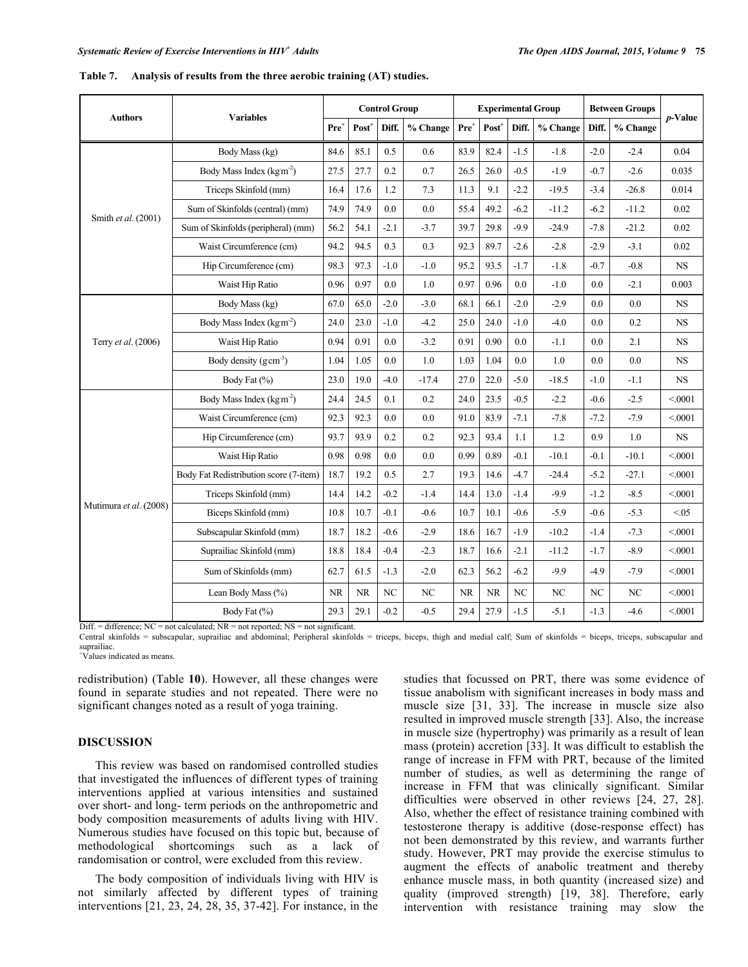|                        |                                        |                  |                     | <b>Control Group</b> |          |           | <b>Experimental Group</b> |        |          |        | <b>Between Groups</b> |            |
|------------------------|----------------------------------------|------------------|---------------------|----------------------|----------|-----------|---------------------------|--------|----------|--------|-----------------------|------------|
| <b>Authors</b>         | <b>Variables</b>                       | Pre <sup>+</sup> | $Post$ <sup>+</sup> | Diff.                | % Change | $Pre^+$   | Post <sup>+</sup>         | Diff.  | % Change | Diff.  | % Change              | $p$ -Value |
|                        | Body Mass (kg)                         | 84.6             | 85.1                | 0.5                  | 0.6      | 83.9      | 82.4                      | $-1.5$ | $-1.8$   | $-2.0$ | $-2.4$                | 0.04       |
|                        | Body Mass Index ( $\text{kg m}^2$ )    | 27.5             | 27.7                | 0.2                  | 0.7      | 26.5      | 26.0                      | $-0.5$ | $-1.9$   | $-0.7$ | $-2.6$                | 0.035      |
|                        | Triceps Skinfold (mm)                  | 16.4             | 17.6                | 1.2                  | $7.3\,$  | 11.3      | 9.1                       | $-2.2$ | $-19.5$  | $-3.4$ | $-26.8$               | 0.014      |
|                        | Sum of Skinfolds (central) (mm)        | 74.9             | 74.9                | 0.0                  | 0.0      | 55.4      | 49.2                      | $-6.2$ | $-11.2$  | $-6.2$ | $-11.2$               | 0.02       |
| Smith et al. (2001)    | Sum of Skinfolds (peripheral) (mm)     | 56.2             | 54.1                | $-2.1$               | $-3.7$   | 39.7      | 29.8                      | $-9.9$ | $-24.9$  | $-7.8$ | $-21.2$               | 0.02       |
|                        | Waist Circumference (cm)               | 94.2             | 94.5                | 0.3                  | 0.3      | 92.3      | 89.7                      | $-2.6$ | $-2.8$   | $-2.9$ | $-3.1$                | 0.02       |
|                        | Hip Circumference (cm)                 | 98.3             | 97.3                | $-1.0$               | $-1.0$   | 95.2      | 93.5                      | $-1.7$ | $-1.8$   | $-0.7$ | $-0.8$                | <b>NS</b>  |
|                        | Waist Hip Ratio                        | 0.96             | 0.97                | 0.0                  | 1.0      | 0.97      | 0.96                      | 0.0    | $-1.0$   | 0.0    | $-2.1$                | 0.003      |
|                        | Body Mass (kg)                         | 67.0             | 65.0                | $-2.0$               | $-3.0$   | 68.1      | 66.1                      | $-2.0$ | $-2.9$   | 0.0    | 0.0                   | <b>NS</b>  |
|                        | Body Mass Index (kgm <sup>-2</sup> )   | 24.0             | 23.0                | $-1.0$               | $-4.2$   | 25.0      | 24.0                      | $-1.0$ | $-4.0$   | 0.0    | 0.2                   | <b>NS</b>  |
| Terry et al. (2006)    | Waist Hip Ratio                        | 0.94             | 0.91                | 0.0                  | $-3.2$   | 0.91      | 0.90                      | 0.0    | $-1.1$   | 0.0    | 2.1                   | <b>NS</b>  |
|                        | Body density $(g \text{ cm}^{-3})$     | 1.04             | 1.05                | 0.0                  | 1.0      | 1.03      | 1.04                      | 0.0    | $1.0\,$  | 0.0    | 0.0                   | NS         |
|                        | Body Fat (%)                           | 23.0             | 19.0                | $-4.0$               | $-17.4$  | 27.0      | 22.0                      | $-5.0$ | $-18.5$  | $-1.0$ | $-1.1$                | NS         |
|                        | Body Mass Index (kgm <sup>-2</sup> )   | 24.4             | 24.5                | 0.1                  | 0.2      | 24.0      | 23.5                      | $-0.5$ | $-2.2$   | $-0.6$ | $-2.5$                | < 0001     |
|                        | Waist Circumference (cm)               | 92.3             | 92.3                | 0.0                  | 0.0      | 91.0      | 83.9                      | $-7.1$ | $-7.8$   | $-7.2$ | $-7.9$                | < 0001     |
|                        | Hip Circumference (cm)                 | 93.7             | 93.9                | 0.2                  | $0.2\,$  | 92.3      | 93.4                      | 1.1    | 1.2      | 0.9    | 1.0                   | NS         |
|                        | Waist Hip Ratio                        | 0.98             | 0.98                | 0.0                  | 0.0      | 0.99      | 0.89                      | $-0.1$ | $-10.1$  | $-0.1$ | $-10.1$               | < 0001     |
|                        | Body Fat Redistribution score (7-item) | 18.7             | 19.2                | 0.5                  | 2.7      | 19.3      | 14.6                      | $-4.7$ | $-24.4$  | $-5.2$ | $-27.1$               | < 0001     |
|                        | Triceps Skinfold (mm)                  | 14.4             | 14.2                | $-0.2$               | $-1.4$   | 14.4      | 13.0                      | $-1.4$ | $-9.9$   | $-1.2$ | $-8.5$                | < 0001     |
| Mutimura et al. (2008) | Biceps Skinfold (mm)                   | 10.8             | 10.7                | $-0.1$               | $-0.6$   | 10.7      | 10.1                      | $-0.6$ | $-5.9$   | $-0.6$ | $-5.3$                | < 0.05     |
|                        | Subscapular Skinfold (mm)              | 18.7             | 18.2                | $-0.6$               | $-2.9$   | 18.6      | 16.7                      | $-1.9$ | $-10.2$  | $-1.4$ | $-7.3$                | < 0001     |
|                        | Suprailiac Skinfold (mm)               | 18.8             | 18.4                | $-0.4$               | $-2.3$   | 18.7      | 16.6                      | $-2.1$ | $-11.2$  | $-1.7$ | $-8.9$                | < 0001     |
|                        | Sum of Skinfolds (mm)                  | 62.7             | 61.5                | $-1.3$               | $-2.0$   | 62.3      | 56.2                      | $-6.2$ | $-9.9$   | $-4.9$ | $-7.9$                | < 0001     |
|                        | Lean Body Mass (%)                     | NR               | <b>NR</b>           | NC                   | NC       | <b>NR</b> | <b>NR</b>                 | NC     | NC       | NC     | NC                    | < 0001     |
|                        | Body Fat $(\% )$                       | 29.3             | 29.1                | $-0.2$               | $-0.5$   | 29.4      | 27.9                      | $-1.5$ | $-5.1$   | $-1.3$ | $-4.6$                | < 0001     |

|  |  | Table 7. Analysis of results from the three aerobic training (AT) studies. |
|--|--|----------------------------------------------------------------------------|
|--|--|----------------------------------------------------------------------------|

 $Diff. = difference$ ;  $NC = not calculated$ ;  $NR = not reported$ ;  $NS = not significant$ .

Central skinfolds = subscapular, suprailiac and abdominal; Peripheral skinfolds = triceps, biceps, thigh and medial calf; Sum of skinfolds = biceps, triceps, subscapular and suprailiac.

+ Values indicated as means.

redistribution) (Table **10**). However, all these changes were found in separate studies and not repeated. There were no significant changes noted as a result of yoga training.

## **DISCUSSION**

This review was based on randomised controlled studies that investigated the influences of different types of training interventions applied at various intensities and sustained over short- and long- term periods on the anthropometric and body composition measurements of adults living with HIV. Numerous studies have focused on this topic but, because of methodological shortcomings such as a lack of randomisation or control, were excluded from this review.

The body composition of individuals living with HIV is not similarly affected by different types of training interventions [21, 23, 24, 28, 35, 37-42]. For instance, in the

studies that focussed on PRT, there was some evidence of tissue anabolism with significant increases in body mass and muscle size [31, 33]. The increase in muscle size also resulted in improved muscle strength [33]. Also, the increase in muscle size (hypertrophy) was primarily as a result of lean mass (protein) accretion [33]. It was difficult to establish the range of increase in FFM with PRT, because of the limited number of studies, as well as determining the range of increase in FFM that was clinically significant. Similar difficulties were observed in other reviews [24, 27, 28]. Also, whether the effect of resistance training combined with testosterone therapy is additive (dose-response effect) has not been demonstrated by this review, and warrants further study. However, PRT may provide the exercise stimulus to augment the effects of anabolic treatment and thereby enhance muscle mass, in both quantity (increased size) and quality (improved strength) [19, 38]. Therefore, early intervention with resistance training may slow the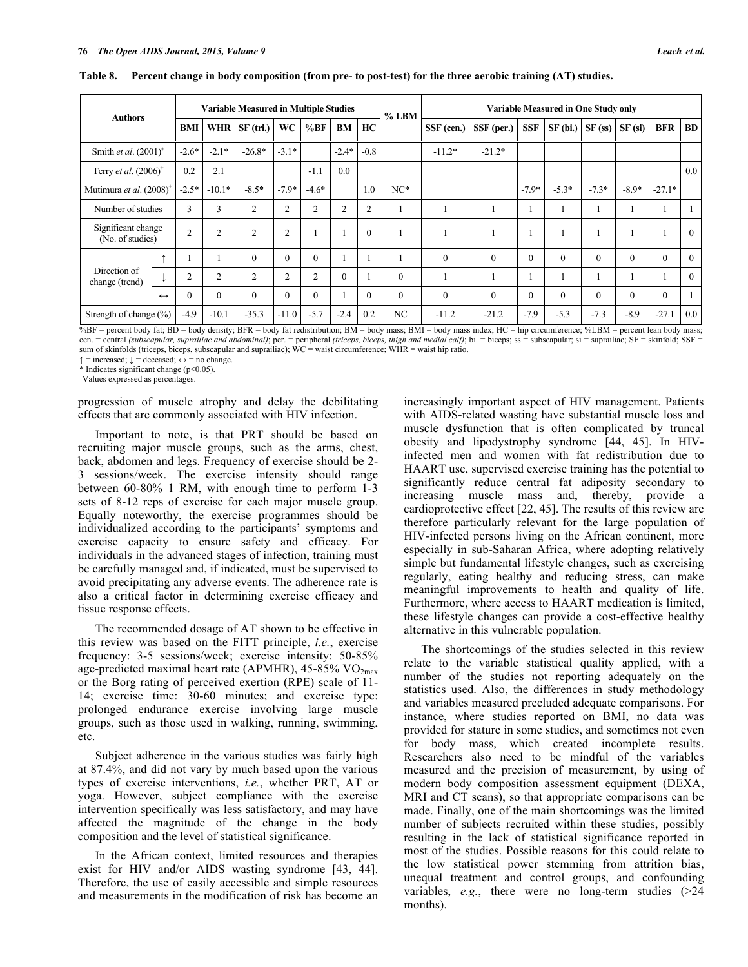| <b>Authors</b>                         |                   |                |                | <b>Variable Measured in Multiple Studies</b> |                |                |                |                | $%$ LBM        |            |            |            | <b>Variable Measured in One Study only</b> |          |           |            |           |
|----------------------------------------|-------------------|----------------|----------------|----------------------------------------------|----------------|----------------|----------------|----------------|----------------|------------|------------|------------|--------------------------------------------|----------|-----------|------------|-----------|
|                                        |                   | BMI            |                | WHR $SF (tri.)$                              | <b>WC</b>      | %BF            | BM             | HC             |                | SSF (cen.) | SSF (per.) | <b>SSF</b> | SF(bi.)                                    | SF(s)    | $SF$ (si) | <b>BFR</b> | <b>BD</b> |
| Smith et al. $(2001)^+$                |                   | $-2.6*$        | $-2.1*$        | $-26.8*$                                     | $-3.1*$        |                | $-2.4*$        | $-0.8$         |                | $-11.2*$   | $-21.2*$   |            |                                            |          |           |            |           |
| Terry et al. $(2006)^+$                |                   | 0.2            | 2.1            |                                              |                | $-1.1$         | 0.0            |                |                |            |            |            |                                            |          |           |            | 0.0       |
| Mutimura et al. (2008)                 |                   | $-2.5*$        | $-10.1*$       | $-8.5*$                                      | $-7.9*$        | $-4.6*$        |                | 1.0            | $NC*$          |            |            | $-7.9*$    | $-5.3*$                                    | $-7.3*$  | $-8.9*$   | $-27.1*$   |           |
| Number of studies                      |                   | 3              | 3              | $\overline{c}$                               | $\overline{c}$ | $\overline{2}$ | $\overline{c}$ | $\overline{2}$ |                |            |            |            |                                            |          |           |            |           |
| Significant change<br>(No. of studies) |                   | $\overline{2}$ | $\overline{2}$ | $\overline{c}$                               | $\overline{2}$ |                |                | $\theta$       |                |            |            |            |                                            |          |           |            | $\theta$  |
|                                        | ۰                 |                |                | $\theta$                                     | $\Omega$       | $\theta$       |                |                |                | $\theta$   | $\theta$   | $\theta$   | $\theta$                                   | $\theta$ | $\Omega$  | $\theta$   | $\theta$  |
| Direction of<br>change (trend)         |                   | ◠              | $\overline{c}$ | $\overline{c}$                               | $\overline{c}$ | $\overline{2}$ | $\Omega$       |                | $\theta$       |            |            |            |                                            |          |           |            | $\Omega$  |
|                                        | $\leftrightarrow$ | $\theta$       | $\Omega$       | $\theta$                                     | $\Omega$       | $\theta$       |                | $\Omega$       | $\theta$       | $\theta$   | $\theta$   | $\theta$   | $\theta$                                   | $\theta$ | $\theta$  | $\Omega$   |           |
| Strength of change (%)                 |                   | $-4.9$         | $-10.1$        | $-35.3$                                      | $-11.0$        | $-5.7$         | $-2.4$         | 0.2            | N <sub>C</sub> | $-11.2$    | $-21.2$    | $-7.9$     | $-5.3$                                     | $-7.3$   | $-8.9$    | $-27.1$    | 0.0       |

Table 8. Percent change in body composition (from pre- to post-test) for the three aerobic training (AT) studies.

%BF = percent body fat; BD = body density; BFR = body fat redistribution; BM = body mass; BMI = body mass index; HC = hip circumference; %LBM = percent lean body mass; cen. = central (subscapular, suprailiac and abdominal); per. = peripheral (triceps, biceps, thigh and medial calf); bi. = biceps; ss = subscapular; si = suprailiac; SF = skinfold; SSF = sum of skinfolds (triceps, biceps, subscapular and suprailiac); WC = waist circumference; WHR = waist hip ratio.

 $\uparrow$  = increased;  $\downarrow$  = deceased;  $\leftrightarrow$  = no change.

\* Indicates significant change (p<0.05).

+ Values expressed as percentages.

progression of muscle atrophy and delay the debilitating effects that are commonly associated with HIV infection.

Important to note, is that PRT should be based on recruiting major muscle groups, such as the arms, chest, back, abdomen and legs. Frequency of exercise should be 2- 3 sessions/week. The exercise intensity should range between 60-80% 1 RM, with enough time to perform 1-3 sets of 8-12 reps of exercise for each major muscle group. Equally noteworthy, the exercise programmes should be individualized according to the participants' symptoms and exercise capacity to ensure safety and efficacy. For individuals in the advanced stages of infection, training must be carefully managed and, if indicated, must be supervised to avoid precipitating any adverse events. The adherence rate is also a critical factor in determining exercise efficacy and tissue response effects.

The recommended dosage of AT shown to be effective in this review was based on the FITT principle, *i.e.*, exercise frequency: 3-5 sessions/week; exercise intensity: 50-85% age-predicted maximal heart rate (APMHR), 45-85%  $VO<sub>2max</sub>$ or the Borg rating of perceived exertion (RPE) scale of 11- 14; exercise time: 30-60 minutes; and exercise type: prolonged endurance exercise involving large muscle groups, such as those used in walking, running, swimming, etc.

Subject adherence in the various studies was fairly high at 87.4%, and did not vary by much based upon the various types of exercise interventions, *i.e.*, whether PRT, AT or yoga. However, subject compliance with the exercise intervention specifically was less satisfactory, and may have affected the magnitude of the change in the body composition and the level of statistical significance.

In the African context, limited resources and therapies exist for HIV and/or AIDS wasting syndrome [43, 44]. Therefore, the use of easily accessible and simple resources and measurements in the modification of risk has become an increasingly important aspect of HIV management. Patients with AIDS-related wasting have substantial muscle loss and muscle dysfunction that is often complicated by truncal obesity and lipodystrophy syndrome [44, 45]. In HIVinfected men and women with fat redistribution due to HAART use, supervised exercise training has the potential to significantly reduce central fat adiposity secondary to increasing muscle mass and, thereby, provide a cardioprotective effect [22, 45]. The results of this review are therefore particularly relevant for the large population of HIV-infected persons living on the African continent, more especially in sub-Saharan Africa, where adopting relatively simple but fundamental lifestyle changes, such as exercising regularly, eating healthy and reducing stress, can make meaningful improvements to health and quality of life. Furthermore, where access to HAART medication is limited, these lifestyle changes can provide a cost-effective healthy alternative in this vulnerable population.

The shortcomings of the studies selected in this review relate to the variable statistical quality applied, with a number of the studies not reporting adequately on the statistics used. Also, the differences in study methodology and variables measured precluded adequate comparisons. For instance, where studies reported on BMI, no data was provided for stature in some studies, and sometimes not even for body mass, which created incomplete results. Researchers also need to be mindful of the variables measured and the precision of measurement, by using of modern body composition assessment equipment (DEXA, MRI and CT scans), so that appropriate comparisons can be made. Finally, one of the main shortcomings was the limited number of subjects recruited within these studies, possibly resulting in the lack of statistical significance reported in most of the studies. Possible reasons for this could relate to the low statistical power stemming from attrition bias, unequal treatment and control groups, and confounding variables, *e.g.*, there were no long-term studies (>24 months).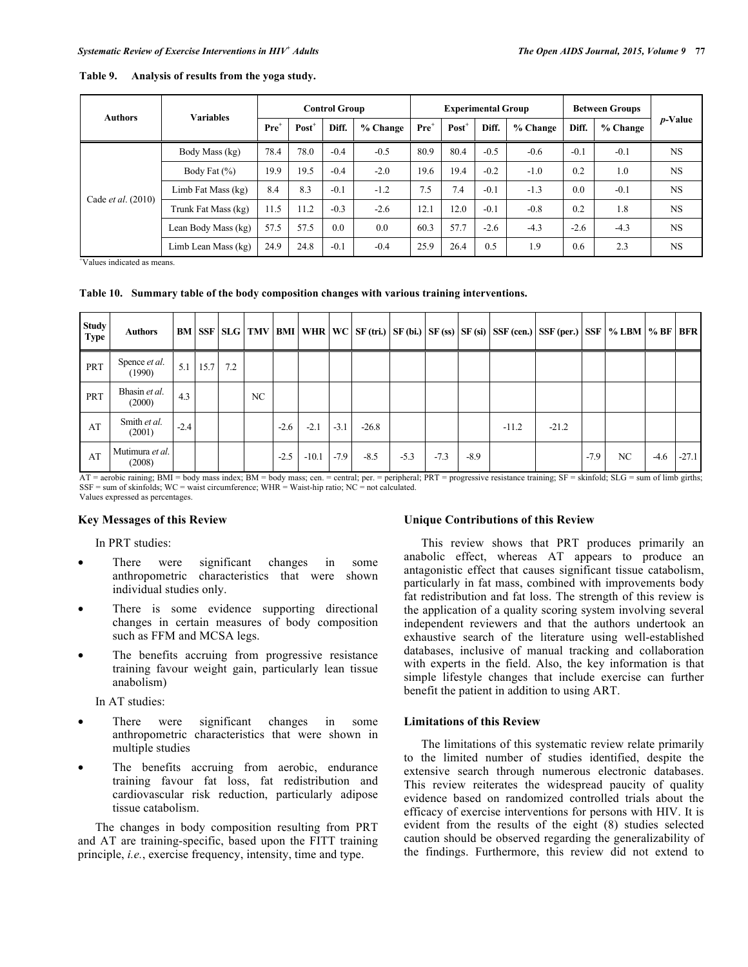| <b>Authors</b>            | <b>Variables</b>    |                  |          | <b>Control Group</b> |          |                  | <b>Experimental Group</b> |        |          |        | <b>Between Groups</b> |                 |
|---------------------------|---------------------|------------------|----------|----------------------|----------|------------------|---------------------------|--------|----------|--------|-----------------------|-----------------|
|                           |                     | Pre <sup>1</sup> | $Post^+$ | Diff.                | % Change | $\mathbf{Pre}^+$ | $Post^+$                  | Diff.  | % Change | Diff.  | % Change              | <i>p</i> -Value |
|                           | Body Mass (kg)      | 78.4             | 78.0     | $-0.4$               | $-0.5$   | 80.9             | 80.4                      | $-0.5$ | $-0.6$   | $-0.1$ | $-0.1$                | NS.             |
|                           | Body Fat $(\% )$    | 19.9             | 19.5     | $-0.4$               | $-2.0$   | 19.6             | 19.4                      | $-0.2$ | $-1.0$   | 0.2    | 1.0                   | <b>NS</b>       |
|                           | Limb Fat Mass (kg)  | 8.4              | 8.3      | $-0.1$               | $-1.2$   | 7.5              | 7.4                       | $-0.1$ | $-1.3$   | 0.0    | $-0.1$                | NS.             |
| Cade <i>et al.</i> (2010) | Trunk Fat Mass (kg) | 11.5             | 11.2     | $-0.3$               | $-2.6$   | 12.1             | 12.0                      | $-0.1$ | $-0.8$   | 0.2    | 1.8                   | NS.             |
|                           | Lean Body Mass (kg) | 57.5             | 57.5     | 0.0                  | 0.0      | 60.3             | 57.7                      | $-2.6$ | $-4.3$   | $-2.6$ | $-4.3$                | NS.             |
|                           | Limb Lean Mass (kg) | 24.9             | 24.8     | $-0.1$               | $-0.4$   | 25.9             | 26.4                      | 0.5    | 1.9      | 0.6    | 2.3                   | NS.             |

#### **Table 9. Analysis of results from the yoga study.**

+ Values indicated as means.

**Table 10. Summary table of the body composition changes with various training interventions.**

| <b>Study</b><br><b>Type</b> | <b>Authors</b>                 |        |                   |     |    |        |         |        |         |        |        |        | BM   SSF   SLG   TMV   BMI   WHR   WC   SF (tri.)   SF (bi.)   SF (ss)   SF (si)   SSF (cen.)   SSF (per.)   SSF   % LBM   % BF |         |        |    |        | <b>BFR</b> |
|-----------------------------|--------------------------------|--------|-------------------|-----|----|--------|---------|--------|---------|--------|--------|--------|---------------------------------------------------------------------------------------------------------------------------------|---------|--------|----|--------|------------|
| PRT                         | Spence <i>et al.</i><br>(1990) | 5.1    | 15.7 <sub>1</sub> | 7.2 |    |        |         |        |         |        |        |        |                                                                                                                                 |         |        |    |        |            |
| PRT                         | Bhasin et al.<br>(2000)        | 4.3    |                   |     | NC |        |         |        |         |        |        |        |                                                                                                                                 |         |        |    |        |            |
| AT                          | Smith et al.<br>(2001)         | $-2.4$ |                   |     |    | $-2.6$ | $-2.1$  | $-3.1$ | $-26.8$ |        |        |        | $-11.2$                                                                                                                         | $-21.2$ |        |    |        |            |
| AT                          | Mutimura et al.<br>(2008)      |        |                   |     |    | $-2.5$ | $-10.1$ | $-7.9$ | $-8.5$  | $-5.3$ | $-7.3$ | $-8.9$ |                                                                                                                                 |         | $-7.9$ | NC | $-4.6$ | $-27.1$    |

AT = aerobic raining; BMI = body mass index; BM = body mass; cen. = central; per. = peripheral; PRT = progressive resistance training; SF = skinfold; SLG = sum of limb girths;  $SSF = sum of skin folds; WC = wait circumference; WHR = Wait-hip ratio; NC = not calculated.$ Values expressed as percentages.

#### **Key Messages of this Review**

In PRT studies:

- There were significant changes in some anthropometric characteristics that were shown individual studies only.
- There is some evidence supporting directional changes in certain measures of body composition such as FFM and MCSA legs.
- The benefits accruing from progressive resistance training favour weight gain, particularly lean tissue anabolism)

In AT studies:

- There were significant changes in some anthropometric characteristics that were shown in multiple studies
- The benefits accruing from aerobic, endurance training favour fat loss, fat redistribution and cardiovascular risk reduction, particularly adipose tissue catabolism.

The changes in body composition resulting from PRT and AT are training-specific, based upon the FITT training principle, *i.e.*, exercise frequency, intensity, time and type.

## **Unique Contributions of this Review**

This review shows that PRT produces primarily an anabolic effect, whereas AT appears to produce an antagonistic effect that causes significant tissue catabolism, particularly in fat mass, combined with improvements body fat redistribution and fat loss. The strength of this review is the application of a quality scoring system involving several independent reviewers and that the authors undertook an exhaustive search of the literature using well-established databases, inclusive of manual tracking and collaboration with experts in the field. Also, the key information is that simple lifestyle changes that include exercise can further benefit the patient in addition to using ART.

#### **Limitations of this Review**

The limitations of this systematic review relate primarily to the limited number of studies identified, despite the extensive search through numerous electronic databases. This review reiterates the widespread paucity of quality evidence based on randomized controlled trials about the efficacy of exercise interventions for persons with HIV. It is evident from the results of the eight (8) studies selected caution should be observed regarding the generalizability of the findings. Furthermore, this review did not extend to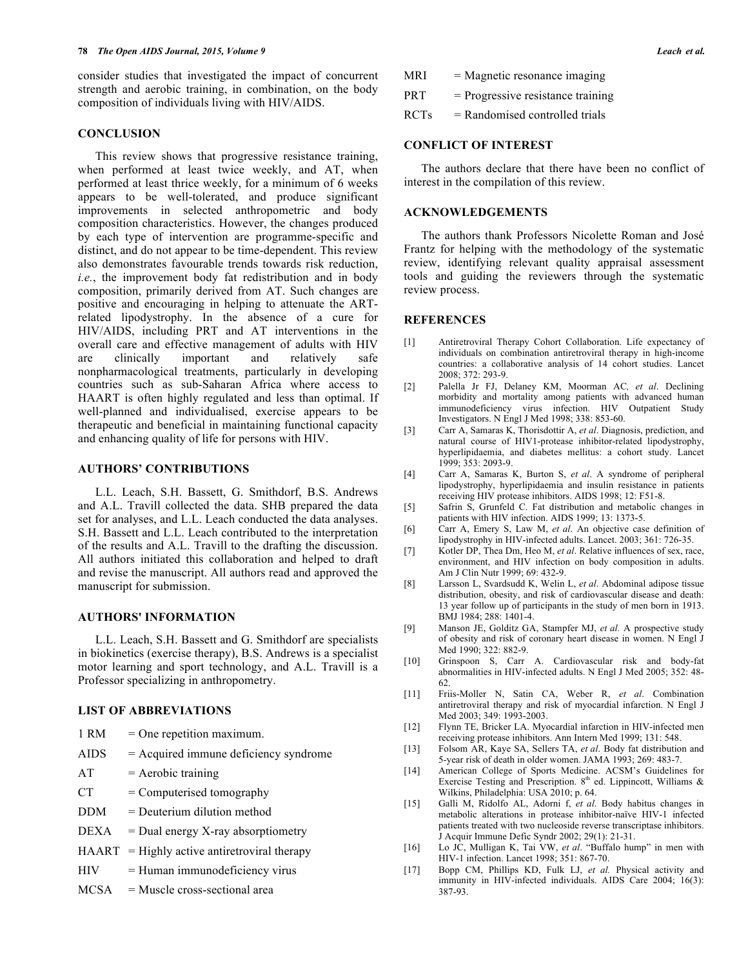consider studies that investigated the impact of concurrent strength and aerobic training, in combination, on the body composition of individuals living with HIV/AIDS.

# **CONCLUSION**

This review shows that progressive resistance training, when performed at least twice weekly, and AT, when performed at least thrice weekly, for a minimum of 6 weeks appears to be well-tolerated, and produce significant improvements in selected anthropometric and body composition characteristics. However, the changes produced by each type of intervention are programme-specific and distinct, and do not appear to be time-dependent. This review also demonstrates favourable trends towards risk reduction, *i.e.*, the improvement body fat redistribution and in body composition, primarily derived from AT. Such changes are positive and encouraging in helping to attenuate the ARTrelated lipodystrophy. In the absence of a cure for HIV/AIDS, including PRT and AT interventions in the overall care and effective management of adults with HIV are clinically important and relatively nonpharmacological treatments, particularly in developing countries such as sub-Saharan Africa where access to HAART is often highly regulated and less than optimal. If well-planned and individualised, exercise appears to be therapeutic and beneficial in maintaining functional capacity and enhancing quality of life for persons with HIV.

# **AUTHORS' CONTRIBUTIONS**

L.L. Leach, S.H. Bassett, G. Smithdorf, B.S. Andrews and A.L. Travill collected the data. SHB prepared the data set for analyses, and L.L. Leach conducted the data analyses. S.H. Bassett and L.L. Leach contributed to the interpretation of the results and A.L. Travill to the drafting the discussion. All authors initiated this collaboration and helped to draft and revise the manuscript. All authors read and approved the manuscript for submission.

# **AUTHORS' INFORMATION**

L.L. Leach, S.H. Bassett and G. Smithdorf are specialists in biokinetics (exercise therapy), B.S. Andrews is a specialist motor learning and sport technology, and A.L. Travill is a Professor specializing in anthropometry.

## **LIST OF ABBREVIATIONS**

| 1 RM | $=$ One repetition maximum.             |
|------|-----------------------------------------|
| AIDS | $=$ Acquired immune deficiency syndrome |
| AT   | $=$ Aerobic training                    |

- $CT =$  Computerised tomography
- DDM = Deuterium dilution method
- $DEXA = Dual energy X-ray absorption$
- $HAART = Highly active antiretroviral therapy$
- $HIV = Human immunodeficiency virus$
- $MCSA$  = Muscle cross-sectional area

| <b>MRI</b>  | $=$ Magnetic resonance imaging      |
|-------------|-------------------------------------|
| <b>PRT</b>  | $=$ Progressive resistance training |
| <b>RCTs</b> | $=$ Randomised controlled trials    |

## **CONFLICT OF INTEREST**

The authors declare that there have been no conflict of interest in the compilation of this review.

#### **ACKNOWLEDGEMENTS**

The authors thank Professors Nicolette Roman and José Frantz for helping with the methodology of the systematic review, identifying relevant quality appraisal assessment tools and guiding the reviewers through the systematic review process.

## **REFERENCES**

- [1] Antiretroviral Therapy Cohort Collaboration. Life expectancy of individuals on combination antiretroviral therapy in high-income countries: a collaborative analysis of 14 cohort studies. Lancet  $2008: 372: 293-9$
- [2] Palella Jr FJ, Delaney KM, Moorman AC*, et al*. Declining morbidity and mortality among patients with advanced human immunodeficiency virus infection. HIV Outpatient Study Investigators. N Engl J Med 1998; 338: 853-60.
- [3] Carr A, Samaras K, Thorisdottir A, *et al*. Diagnosis, prediction, and natural course of HIV1-protease inhibitor-related lipodystrophy, hyperlipidaemia, and diabetes mellitus: a cohort study. Lancet 1999; 353: 2093-9.
- [4] Carr A, Samaras K, Burton S, *et al*. A syndrome of peripheral lipodystrophy, hyperlipidaemia and insulin resistance in patients receiving HIV protease inhibitors. AIDS 1998; 12: F51-8.
- [5] Safrin S, Grunfeld C. Fat distribution and metabolic changes in patients with HIV infection. AIDS 1999; 13: 1373-5.
- [6] Carr A, Emery S, Law M, *et al*. An objective case definition of lipodystrophy in HIV-infected adults. Lancet. 2003; 361: 726-35.
- [7] Kotler DP, Thea Dm, Heo M, *et al*. Relative influences of sex, race, environment, and HIV infection on body composition in adults. Am J Clin Nutr 1999; 69: 432-9.
- [8] Larsson L, Svardsudd K, Welin L, *et al*. Abdominal adipose tissue distribution, obesity, and risk of cardiovascular disease and death: 13 year follow up of participants in the study of men born in 1913. BMJ 1984; 288: 1401-4.
- [9] Manson JE, Golditz GA, Stampfer MJ, *et al.* A prospective study of obesity and risk of coronary heart disease in women. N Engl J Med 1990; 322: 882-9.
- [10] Grinspoon S, Carr A. Cardiovascular risk and body-fat abnormalities in HIV-infected adults. N Engl J Med 2005; 352: 48- 62.
- [11] Friis-Moller N, Satin CA, Weber R, *et al*. Combination antiretroviral therapy and risk of myocardial infarction. N Engl J Med 2003; 349: 1993-2003.
- [12] Flynn TE, Bricker LA. Myocardial infarction in HIV-infected men receiving protease inhibitors. Ann Intern Med 1999; 131: 548.
- [13] Folsom AR, Kaye SA, Sellers TA, *et al*. Body fat distribution and 5-year risk of death in older women. JAMA 1993; 269: 483-7.
- [14] American College of Sports Medicine. ACSM's Guidelines for Exercise Testing and Prescription.  $8<sup>th</sup>$  ed. Lippincott, Williams & Wilkins, Philadelphia: USA 2010; p. 64.
- [15] Galli M, Ridolfo AL, Adorni f, *et al*. Body habitus changes in metabolic alterations in protease inhibitor-naïve HIV-1 infected patients treated with two nucleoside reverse transcriptase inhibitors. J Acquir Immune Defic Syndr 2002; 29(1): 21-31.
- [16] Lo JC, Mulligan K, Tai VW, *et al*. "Buffalo hump" in men with HIV-1 infection. Lancet 1998; 351: 867-70.
- [17] Bopp CM, Phillips KD, Fulk LJ, *et al.* Physical activity and immunity in HIV-infected individuals. AIDS Care 2004; 16(3): 387-93.